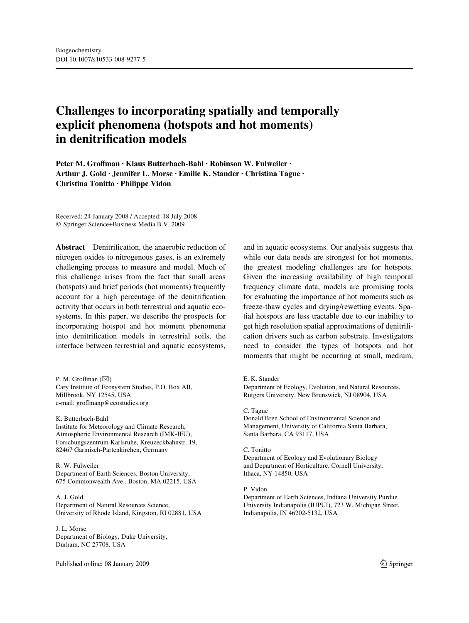# **Challenges to incorporating spatially and temporally explicit phenomena (hotspots and hot moments) in denitrification models**

Peter M. Groffman · Klaus Butterbach-Bahl · Robinson W. Fulweiler · **Arthur J. Gold · Jennifer L. Morse · Emilie K. Stander · Christina Tague · Christina Tonitto · Philippe Vidon** 

Received: 24 January 2008 / Accepted: 18 July 2008 © Springer Science+Business Media B.V. 2009

**Abstract** Denitrification, the anaerobic reduction of nitrogen oxides to nitrogenous gases, is an extremely challenging process to measure and model. Much of this challenge arises from the fact that small areas (hotspots) and brief periods (hot moments) frequently account for a high percentage of the denitrification activity that occurs in both terrestrial and aquatic ecosystems. In this paper, we describe the prospects for incorporating hotspot and hot moment phenomena into denitrification models in terrestrial soils, the interface between terrestrial and aquatic ecosystems,

P. M. Groffman  $(\boxtimes)$ Cary Institute of Ecosystem Studies, P.O. Box AB, Millbrook, NY 12545, USA e-mail: groffmanp@ecostudies.org

K. Butterbach-Bahl

Institute for Meteorology and Climate Research, Atmospheric Environmental Research (IMK-IFU), Forschungszentrum Karlsruhe, Kreuzeckbahnstr. 19, 82467 Garmisch-Partenkirchen, Germany

# R. W. Fulweiler

Department of Earth Sciences, Boston University, 675 Commonwealth Ave., Boston, MA 02215, USA

A. J. Gold Department of Natural Resources Science, University of Rhode Island, Kingston, RI 02881, USA

#### J. L. Morse

Department of Biology, Duke University, Durham, NC 27708, USA

Published online: 08 January 2009

and in aquatic ecosystems. Our analysis suggests that while our data needs are strongest for hot moments, the greatest modeling challenges are for hotspots. Given the increasing availability of high temporal frequency climate data, models are promising tools for evaluating the importance of hot moments such as freeze-thaw cycles and drying/rewetting events. Spatial hotspots are less tractable due to our inability to get high resolution spatial approximations of denitrification drivers such as carbon substrate. Investigators need to consider the types of hotspots and hot moments that might be occurring at small, medium,

#### E. K. Stander

Department of Ecology, Evolution, and Natural Resources, Rutgers University, New Brunswick, NJ 08904, USA

#### C. Tague

Donald Bren School of Environmental Science and Management, University of California Santa Barbara, Santa Barbara, CA 93117, USA

#### C. Tonitto

Department of Ecology and Evolutionary Biology and Department of Horticulture, Cornell University, Ithaca, NY 14850, USA

#### P. Vidon

Department of Earth Sciences, Indiana University Purdue University Indianapolis (IUPUI), 723 W. Michigan Street, Indianapolis, IN 46202-5132, USA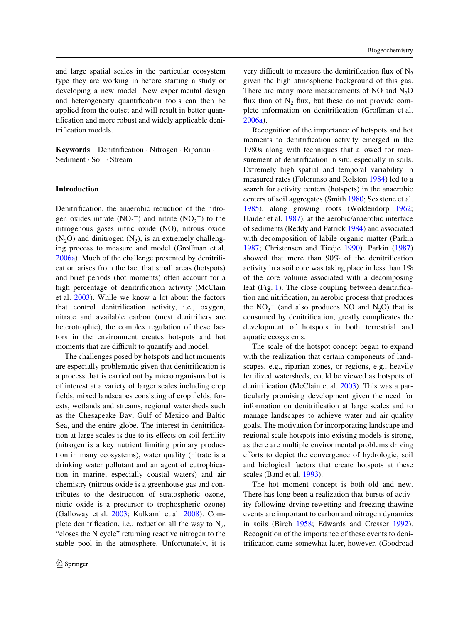and large spatial scales in the particular ecosystem type they are working in before starting a study or developing a new model. New experimental design and heterogeneity quantification tools can then be applied from the outset and will result in better quantification and more robust and widely applicable denitrification models.

Keywords Denitrification · Nitrogen · Riparian · Sediment · Soil · Stream

## **Introduction**

Denitrification, the anaerobic reduction of the nitrogen oxides nitrate  $(NO<sub>3</sub><sup>-</sup>)$  and nitrite  $(NO<sub>2</sub><sup>-</sup>)$  to the nitrogenous gases nitric oxide (NO), nitrous oxide  $(N<sub>2</sub>O)$  and dinitrogen  $(N<sub>2</sub>)$ , is an extremely challenging process to measure and model (Groffman et al.  $2006a$ ). Much of the challenge presented by denitrification arises from the fact that small areas (hotspots) and brief periods (hot moments) often account for a high percentage of denitrification activity (McClain et al. [2003](#page-25-0)). While we know a lot about the factors that control denitrification activity, i.e., oxygen, nitrate and available carbon (most denitrifiers are heterotrophic), the complex regulation of these factors in the environment creates hotspots and hot moments that are difficult to quantify and model.

The challenges posed by hotspots and hot moments are especially problematic given that denitrification is a process that is carried out by microorganisms but is of interest at a variety of larger scales including crop fields, mixed landscapes consisting of crop fields, forests, wetlands and streams, regional watersheds such as the Chesapeake Bay, Gulf of Mexico and Baltic Sea, and the entire globe. The interest in denitrification at large scales is due to its effects on soil fertility (nitrogen is a key nutrient limiting primary production in many ecosystems), water quality (nitrate is a drinking water pollutant and an agent of eutrophication in marine, especially coastal waters) and air chemistry (nitrous oxide is a greenhouse gas and contributes to the destruction of stratospheric ozone, nitric oxide is a precursor to trophospheric ozone) (Galloway et al. [2003;](#page-22-0) Kulkarni et al. [2008](#page-24-0)). Complete denitrification, i.e., reduction all the way to  $N_2$ , "closes the N cycle" returning reactive nitrogen to the stable pool in the atmosphere. Unfortunately, it is very difficult to measure the denitrification flux of  $N_2$ given the high atmospheric background of this gas. There are many more measurements of NO and  $N<sub>2</sub>O$ flux than of  $N_2$  flux, but these do not provide complete information on denitrification (Groffman et al. [2006a](#page-23-0)).

Recognition of the importance of hotspots and hot moments to denitrification activity emerged in the 1980s along with techniques that allowed for measurement of denitrification in situ, especially in soils. Extremely high spatial and temporal variability in measured rates (Folorunso and Rolston [1984\)](#page-22-1) led to a search for activity centers (hotspots) in the anaerobic centers of soil aggregates (Smith [1980;](#page-26-0) Sexstone et al. [1985](#page-26-1)), along growing roots (Woldendorp [1962;](#page-28-0) Haider et al. [1987](#page-23-1)), at the aerobic/anaerobic interface of sediments (Reddy and Patrick [1984](#page-26-2)) and associated with decomposition of labile organic matter (Parkin [1987](#page-25-1); Christensen and Tiedje [1990\)](#page-22-2). Parkin [\(1987](#page-25-1)) showed that more than  $90\%$  of the denitrification activity in a soil core was taking place in less than 1% of the core volume associated with a decomposing leaf (Fig.  $1$ ). The close coupling between denitrification and nitrification, an aerobic process that produces the  $NO_3^-$  (and also produces NO and  $N_2O$ ) that is consumed by denitrification, greatly complicates the development of hotspots in both terrestrial and aquatic ecosystems.

The scale of the hotspot concept began to expand with the realization that certain components of landscapes, e.g., riparian zones, or regions, e.g., heavily fertilized watersheds, could be viewed as hotspots of denitrification (McClain et al. [2003](#page-25-0)). This was a particularly promising development given the need for information on denitrification at large scales and to manage landscapes to achieve water and air quality goals. The motivation for incorporating landscape and regional scale hotspots into existing models is strong, as there are multiple environmental problems driving efforts to depict the convergence of hydrologic, soil and biological factors that create hotspots at these scales (Band et al. [1993](#page-21-0)).

The hot moment concept is both old and new. There has long been a realization that bursts of activity following drying-rewetting and freezing-thawing events are important to carbon and nitrogen dynamics in soils (Birch [1958;](#page-21-1) Edwards and Cresser [1992\)](#page-22-3). Recognition of the importance of these events to denitrification came somewhat later, however, (Goodroad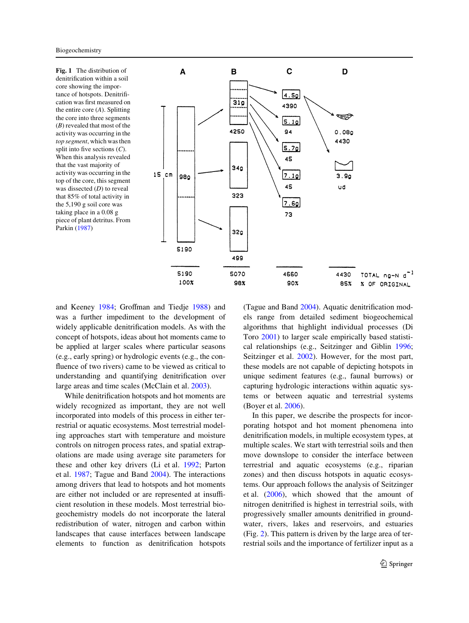<span id="page-2-0"></span>**Fig. 1** The distribution of denitrification within a soil core showing the importance of hotspots. Denitrification was first measured on the entire core (*A*). Splitting the core into three segments (*B*) revealed that most of the activity was occurring in the *top segment*, which was then split into five sections  $(C)$ . When this analysis revealed that the vast majority of activity was occurring in the top of the core, this segment was dissected (*D*) to reveal that 85% of total activity in the 5,190 g soil core was taking place in a 0.08 g piece of plant detritus. From Parkin ([1987](#page-25-1))



and Keeney [1984;](#page-23-2) Groffman and Tiedje [1988\)](#page-23-3) and was a further impediment to the development of widely applicable denitrification models. As with the concept of hotspots, ideas about hot moments came to be applied at larger scales where particular seasons (e.g., early spring) or hydrologic events (e.g., the confluence of two rivers) came to be viewed as critical to understanding and quantifying denitrification over large areas and time scales (McClain et al. [2003\)](#page-25-0).

While denitrification hotspots and hot moments are widely recognized as important, they are not well incorporated into models of this process in either terrestrial or aquatic ecosystems. Most terrestrial modeling approaches start with temperature and moisture controls on nitrogen process rates, and spatial extrapolations are made using average site parameters for these and other key drivers (Li et al. [1992;](#page-24-1) Parton et al. [1987;](#page-25-2) Tague and Band [2004](#page-27-0)). The interactions among drivers that lead to hotspots and hot moments are either not included or are represented at insufficient resolution in these models. Most terrestrial biogeochemistry models do not incorporate the lateral redistribution of water, nitrogen and carbon within landscapes that cause interfaces between landscape elements to function as denitrification hotspots (Tague and Band  $2004$ ). Aquatic denitrification models range from detailed sediment biogeochemical algorithms that highlight individual processes (Di Toro [2001\)](#page-22-4) to larger scale empirically based statistical relationships (e.g., Seitzinger and Giblin [1996;](#page-26-3) Seitzinger et al. [2002](#page-26-4)). However, for the most part, these models are not capable of depicting hotspots in unique sediment features (e.g., faunal burrows) or capturing hydrologic interactions within aquatic systems or between aquatic and terrestrial systems (Boyer et al. [2006](#page-21-2)).

In this paper, we describe the prospects for incorporating hotspot and hot moment phenomena into denitrification models, in multiple ecosystem types, at multiple scales. We start with terrestrial soils and then move downslope to consider the interface between terrestrial and aquatic ecosystems (e.g., riparian zones) and then discuss hotspots in aquatic ecosystems. Our approach follows the analysis of Seitzinger et al. [\(2006](#page-26-5)), which showed that the amount of nitrogen denitrified is highest in terrestrial soils, with progressively smaller amounts denitrified in groundwater, rivers, lakes and reservoirs, and estuaries (Fig. [2\)](#page-3-0). This pattern is driven by the large area of terrestrial soils and the importance of fertilizer input as a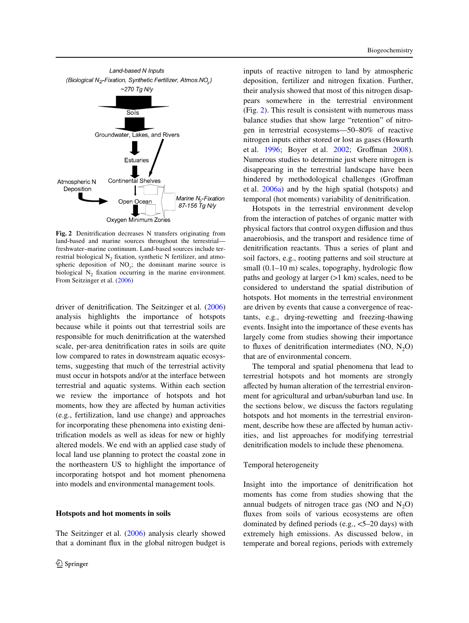

<span id="page-3-0"></span>Fig. 2 Denitrification decreases N transfers originating from land-based and marine sources throughout the terrestrial freshwater–marine continuum. Land-based sources include terrestrial biological  $N_2$  fixation, synthetic N fertilizer, and atmospheric deposition of NO*y*; the dominant marine source is biological  $N<sub>2</sub>$  fixation occurring in the marine environment. From Seitzinger et al. ([2006](#page-26-5))

driver of denitrification. The Seitzinger et al.  $(2006)$ analysis highlights the importance of hotspots because while it points out that terrestrial soils are responsible for much denitrification at the watershed scale, per-area denitrification rates in soils are quite low compared to rates in downstream aquatic ecosystems, suggesting that much of the terrestrial activity must occur in hotspots and/or at the interface between terrestrial and aquatic systems. Within each section we review the importance of hotspots and hot moments, how they are affected by human activities (e.g., fertilization, land use change) and approaches for incorporating these phenomena into existing denitrification models as well as ideas for new or highly altered models. We end with an applied case study of local land use planning to protect the coastal zone in the northeastern US to highlight the importance of incorporating hotspot and hot moment phenomena into models and environmental management tools.

## **Hotspots and hot moments in soils**

The Seitzinger et al. [\(2006](#page-26-5)) analysis clearly showed that a dominant flux in the global nitrogen budget is inputs of reactive nitrogen to land by atmospheric deposition, fertilizer and nitrogen fixation. Further, their analysis showed that most of this nitrogen disappears somewhere in the terrestrial environment (Fig. [2\)](#page-3-0). This result is consistent with numerous mass balance studies that show large "retention" of nitrogen in terrestrial ecosystems—50–80% of reactive nitrogen inputs either stored or lost as gases (Howarth et al. [1996;](#page-24-2) Boyer et al. [2002](#page-21-3); Groffman [2008\)](#page-23-4). Numerous studies to determine just where nitrogen is disappearing in the terrestrial landscape have been hindered by methodological challenges (Groffman et al. [2006a\)](#page-23-0) and by the high spatial (hotspots) and temporal (hot moments) variability of denitrification.

Hotspots in the terrestrial environment develop from the interaction of patches of organic matter with physical factors that control oxygen diffusion and thus anaerobiosis, and the transport and residence time of denitrification reactants. Thus a series of plant and soil factors, e.g., rooting patterns and soil structure at small  $(0.1–10 \text{ m})$  scales, topography, hydrologic flow paths and geology at larger (>1 km) scales, need to be considered to understand the spatial distribution of hotspots. Hot moments in the terrestrial environment are driven by events that cause a convergence of reactants, e.g., drying-rewetting and freezing-thawing events. Insight into the importance of these events has largely come from studies showing their importance to fluxes of denitrification intermediates  $(NO, N<sub>2</sub>O)$ that are of environmental concern.

The temporal and spatial phenomena that lead to terrestrial hotspots and hot moments are strongly affected by human alteration of the terrestrial environment for agricultural and urban/suburban land use. In the sections below, we discuss the factors regulating hotspots and hot moments in the terrestrial environment, describe how these are affected by human activities, and list approaches for modifying terrestrial denitrification models to include these phenomena.

#### Temporal heterogeneity

Insight into the importance of denitrification hot moments has come from studies showing that the annual budgets of nitrogen trace gas  $(NO \text{ and } N_2O)$ fluxes from soils of various ecosystems are often dominated by defined periods (e.g.,  $\leq$ 5–20 days) with extremely high emissions. As discussed below, in temperate and boreal regions, periods with extremely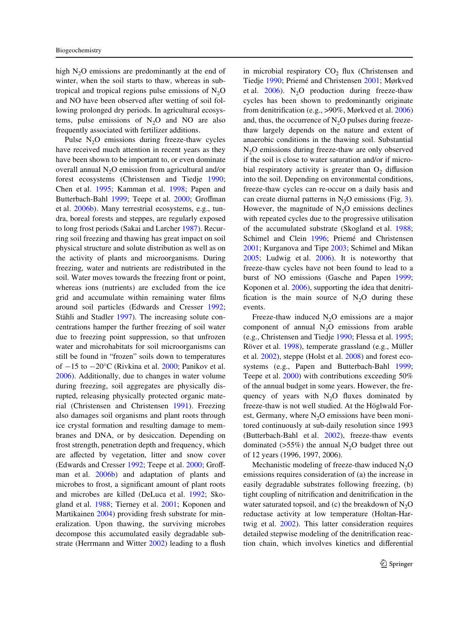high  $N_2O$  emissions are predominantly at the end of winter, when the soil starts to thaw, whereas in subtropical and tropical regions pulse emissions of  $N<sub>2</sub>O$ and NO have been observed after wetting of soil following prolonged dry periods. In agricultural ecosystems, pulse emissions of  $N_2O$  and NO are also frequently associated with fertilizer additions.

Pulse  $N_2O$  emissions during freeze-thaw cycles have received much attention in recent years as they have been shown to be important to, or even dominate overall annual  $N<sub>2</sub>O$  emission from agricultural and/or forest ecosystems (Christensen and Tiedje [1990;](#page-22-2) Chen et al. [1995](#page-21-4); Kamman et al. [1998;](#page-24-3) Papen and Butterbach-Bahl [1999](#page-25-3); Teepe et al. [2000;](#page-27-1) Groffman et al. [2006b](#page-23-5)). Many terrestrial ecosystems, e.g., tundra, boreal forests and steppes, are regularly exposed to long frost periods (Sakai and Larcher [1987](#page-26-6)). Recurring soil freezing and thawing has great impact on soil physical structure and solute distribution as well as on the activity of plants and microorganisms. During freezing, water and nutrients are redistributed in the soil. Water moves towards the freezing front or point, whereas ions (nutrients) are excluded from the ice grid and accumulate within remaining water films around soil particles (Edwards and Cresser [1992;](#page-22-3) Stähli and Stadler [1997\)](#page-27-2). The increasing solute concentrations hamper the further freezing of soil water due to freezing point suppression, so that unfrozen water and microhabitats for soil microorganisms can still be found in "frozen" soils down to temperatures of  $-15$  to  $-20^{\circ}$ C (Rivkina et al. [2000](#page-26-7); Panikov et al. [2006\)](#page-25-4). Additionally, due to changes in water volume during freezing, soil aggregates are physically disrupted, releasing physically protected organic material (Christensen and Christensen [1991\)](#page-21-5). Freezing also damages soil organisms and plant roots through ice crystal formation and resulting damage to membranes and DNA, or by desiccation. Depending on frost strength, penetration depth and frequency, which are affected by vegetation, litter and snow cover (Edwards and Cresser [1992;](#page-22-3) Teepe et al. [2000](#page-27-1); Groffman et al. [2006b](#page-23-5)) and adaptation of plants and microbes to frost, a significant amount of plant roots and microbes are killed (DeLuca et al. [1992;](#page-22-5) Skogland et al. [1988](#page-26-8); Tierney et al. [2001;](#page-27-3) Koponen and Martikainen [2004\)](#page-24-4) providing fresh substrate for mineralization. Upon thawing, the surviving microbes decompose this accumulated easily degradable substrate (Herrmann and Witter  $2002$ ) leading to a flush

 $N<sub>2</sub>O$  emissions during freeze-thaw are only observed if the soil is close to water saturation and/or if microbial respiratory activity is greater than  $O_2$  diffusion into the soil. Depending on environmental conditions, freeze-thaw cycles can re-occur on a daily basis and can create diurnal patterns in  $N_2O$  emissions (Fig. [3\)](#page-5-0). However, the magnitude of  $N_2O$  emissions declines with repeated cycles due to the progressive utilisation of the accumulated substrate (Skogland et al. [1988;](#page-26-8) Schimel and Clein [1996;](#page-26-10) Priemé and Christensen [2001](#page-26-9); Kurganova and Tipe [2003](#page-24-5); Schimel and Mikan [2005](#page-26-11); Ludwig et al. [2006\)](#page-25-6). It is noteworthy that freeze-thaw cycles have not been found to lead to a burst of NO emissions (Gasche and Papen [1999;](#page-23-7) Koponen et al. [2006](#page-24-6)), supporting the idea that denitrification is the main source of  $N_2O$  during these Freeze-thaw induced  $N_2O$  emissions are a major component of annual  $N_2O$  emissions from arable (e.g., Christensen and Tiedje [1990;](#page-22-2) Flessa et al. [1995;](#page-22-6)

in microbial respiratory  $CO<sub>2</sub>$  flux (Christensen and Tiedje [1990](#page-22-2); Priemé and Christensen [2001](#page-26-9); Mørkved et al.  $2006$ ). N<sub>2</sub>O production during freeze-thaw cycles has been shown to predominantly originate from denitrification (e.g.,  $>90\%$ , Mørkved et al. [2006](#page-25-5)) and, thus, the occurrence of  $N_2O$  pulses during freezethaw largely depends on the nature and extent of anaerobic conditions in the thawing soil. Substantial

Röver et al. [1998\)](#page-26-12), temperate grassland (e.g., Müller et al. [2002](#page-25-7)), steppe (Holst et al. [2008](#page-23-8)) and forest ecosystems (e.g., Papen and Butterbach-Bahl [1999;](#page-25-3) Teepe et al. [2000](#page-27-1)) with contributions exceeding 50% of the annual budget in some years. However, the frequency of years with  $N_2O$  fluxes dominated by freeze-thaw is not well studied. At the Höglwald Forest, Germany, where  $N<sub>2</sub>O$  emissions have been monitored continuously at sub-daily resolution since 1993 (Butterbach-Bahl et al. [2002\)](#page-21-6), freeze-thaw events dominated  $(55\%)$  the annual N<sub>2</sub>O budget three out of 12 years (1996, 1997, 2006).

events.

Mechanistic modeling of freeze-thaw induced  $N_2O$ emissions requires consideration of (a) the increase in easily degradable substrates following freezing, (b) tight coupling of nitrification and denitrification in the water saturated topsoil, and (c) the breakdown of  $N_2O$ reductase activity at low temperature (Holtan-Hartwig et al. [2002\)](#page-24-7). This latter consideration requires detailed stepwise modeling of the denitrification reaction chain, which involves kinetics and differential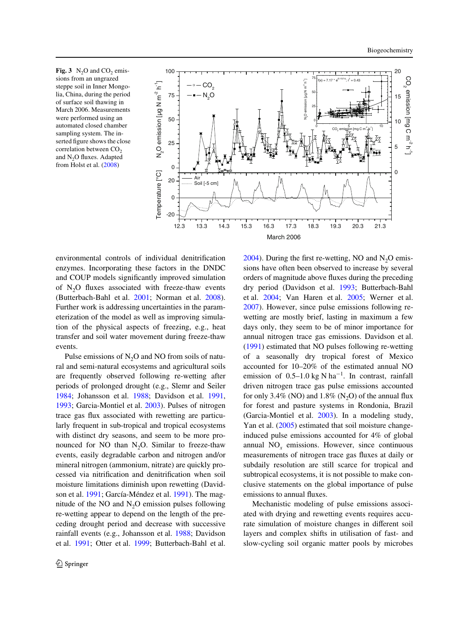<span id="page-5-0"></span>**Fig.**  $3 \text{ N}_2\text{O}$  and CO<sub>2</sub> emissions from an ungrazed steppe soil in Inner Mongolia, China, during the period of surface soil thawing in March 2006. Measurements were performed using an automated closed chamber sampling system. The inserted figure shows the close correlation between CO<sub>2</sub> and N<sub>2</sub>O fluxes. Adapted from Holst et al. ([2008\)](#page-23-8)



environmental controls of individual denitrification enzymes. Incorporating these factors in the DNDC and COUP models significantly improved simulation of  $N_2O$  fluxes associated with freeze-thaw events (Butterbach-Bahl et al. [2001](#page-21-7); Norman et al. [2008](#page-25-8)). Further work is addressing uncertainties in the parameterization of the model as well as improving simulation of the physical aspects of freezing, e.g., heat transfer and soil water movement during freeze-thaw events.

Pulse emissions of  $N<sub>2</sub>O$  and NO from soils of natural and semi-natural ecosystems and agricultural soils are frequently observed following re-wetting after periods of prolonged drought (e.g., Slemr and Seiler [1984;](#page-26-13) Johansson et al. [1988;](#page-24-8) Davidson et al. [1991,](#page-22-7) [1993;](#page-22-8) Garcia-Montiel et al. [2003\)](#page-23-9). Pulses of nitrogen trace gas flux associated with rewetting are particularly frequent in sub-tropical and tropical ecosystems with distinct dry seasons, and seem to be more pronounced for NO than  $N_2O$ . Similar to freeze-thaw events, easily degradable carbon and nitrogen and/or mineral nitrogen (ammonium, nitrate) are quickly processed via nitrification and denitrification when soil moisture limitations diminish upon rewetting (Davidson et al. [1991;](#page-22-7) García-Méndez et al. [1991\)](#page-23-10). The magnitude of the NO and  $N_2O$  emission pulses following re-wetting appear to depend on the length of the preceding drought period and decrease with successive rainfall events (e.g., Johansson et al. [1988](#page-24-8); Davidson et al. [1991](#page-22-7); Otter et al. [1999;](#page-25-9) Butterbach-Bahl et al.  $2004$ ). During the first re-wetting, NO and N<sub>2</sub>O emissions have often been observed to increase by several orders of magnitude above fluxes during the preceding dry period (Davidson et al. [1993](#page-22-8); Butterbach-Bahl et al. [2004](#page-21-8); Van Haren et al. [2005;](#page-27-4) Werner et al. [2007\)](#page-27-5). However, since pulse emissions following rewetting are mostly brief, lasting in maximum a few days only, they seem to be of minor importance for annual nitrogen trace gas emissions. Davidson et al. [\(1991](#page-22-7)) estimated that NO pulses following re-wetting of a seasonally dry tropical forest of Mexico accounted for 10–20% of the estimated annual NO emission of  $0.5-1.0$  kg N ha<sup>-1</sup>. In contrast, rainfall driven nitrogen trace gas pulse emissions accounted for only 3.4% (NO) and 1.8% (N<sub>2</sub>O) of the annual flux for forest and pasture systems in Rondonia, Brazil (Garcia-Montiel et al. [2003](#page-23-9)). In a modeling study, Yan et al. ([2005\)](#page-28-1) estimated that soil moisture changeinduced pulse emissions accounted for 4% of global annual NO*x* emissions. However, since continuous measurements of nitrogen trace gas fluxes at daily or subdaily resolution are still scarce for tropical and subtropical ecosystems, it is not possible to make conclusive statements on the global importance of pulse emissions to annual fluxes.

Mechanistic modeling of pulse emissions associated with drying and rewetting events requires accurate simulation of moisture changes in different soil layers and complex shifts in utilisation of fast- and slow-cycling soil organic matter pools by microbes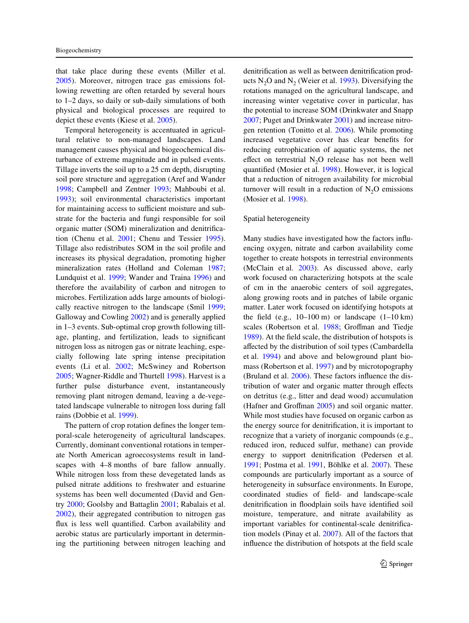that take place during these events (Miller et al. [2005\)](#page-25-10). Moreover, nitrogen trace gas emissions following rewetting are often retarded by several hours to 1–2 days, so daily or sub-daily simulations of both physical and biological processes are required to depict these events (Kiese et al. [2005](#page-24-9)).

Temporal heterogeneity is accentuated in agricultural relative to non-managed landscapes. Land management causes physical and biogeochemical disturbance of extreme magnitude and in pulsed events. Tillage inverts the soil up to a 25 cm depth, disrupting soil pore structure and aggregation (Aref and Wander [1998;](#page-20-0) Campbell and Zentner [1993;](#page-21-9) Mahboubi et al. [1993\)](#page-25-11); soil environmental characteristics important for maintaining access to sufficient moisture and substrate for the bacteria and fungi responsible for soil organic matter (SOM) mineralization and denitrification (Chenu et al. [2001](#page-21-10); Chenu and Tessier [1995](#page-21-11)). Tillage also redistributes SOM in the soil profile and increases its physical degradation, promoting higher mineralization rates (Holland and Coleman [1987;](#page-23-11) Lundquist et al. [1999](#page-25-12); Wander and Traina [1996](#page-27-6)) and therefore the availability of carbon and nitrogen to microbes. Fertilization adds large amounts of biologically reactive nitrogen to the landscape (Smil [1999;](#page-26-14) Galloway and Cowling [2002\)](#page-22-9) and is generally applied in 1–3 events. Sub-optimal crop growth following tillage, planting, and fertilization, leads to significant nitrogen loss as nitrogen gas or nitrate leaching, especially following late spring intense precipitation events (Li et al. [2002](#page-24-10); McSwiney and Robertson [2005;](#page-25-13) Wagner-Riddle and Thurtell [1998](#page-27-7)). Harvest is a further pulse disturbance event, instantaneously removing plant nitrogen demand, leaving a de-vegetated landscape vulnerable to nitrogen loss during fall rains (Dobbie et al. [1999\)](#page-22-10).

The pattern of crop rotation defines the longer temporal-scale heterogeneity of agricultural landscapes. Currently, dominant conventional rotations in temperate North American agroecosystems result in landscapes with 4–8 months of bare fallow annually. While nitrogen loss from these devegetated lands as pulsed nitrate additions to freshwater and estuarine systems has been well documented (David and Gentry [2000;](#page-22-11) Goolsby and Battaglin [2001;](#page-23-12) Rabalais et al. [2002\)](#page-26-15), their aggregated contribution to nitrogen gas flux is less well quantified. Carbon availability and aerobic status are particularly important in determining the partitioning between nitrogen leaching and denitrification as well as between denitrification products  $N_2O$  and  $N_2$  (Weier et al. [1993\)](#page-27-8). Diversifying the rotations managed on the agricultural landscape, and increasing winter vegetative cover in particular, has the potential to increase SOM (Drinkwater and Snapp [2007](#page-22-12); Puget and Drinkwater [2001](#page-26-16)) and increase nitrogen retention (Tonitto et al. [2006](#page-27-9)). While promoting increased vegetative cover has clear benefits for reducing eutrophication of aquatic systems, the net effect on terrestrial  $N_2O$  release has not been well quantified (Mosier et al. [1998\)](#page-25-14). However, it is logical that a reduction of nitrogen availability for microbial turnover will result in a reduction of  $N<sub>2</sub>O$  emissions (Mosier et al. [1998](#page-25-14)).

## Spatial heterogeneity

Many studies have investigated how the factors influencing oxygen, nitrate and carbon availability come together to create hotspots in terrestrial environments (McClain et al. [2003\)](#page-25-0). As discussed above, early work focused on characterizing hotspots at the scale of cm in the anaerobic centers of soil aggregates, along growing roots and in patches of labile organic matter. Later work focused on identifying hotspots at the field (e.g.,  $10-100$  m) or landscape  $(1-10 \text{ km})$ scales (Robertson et al. [1988](#page-26-17); Groffman and Tiedje [1989](#page-23-13)). At the field scale, the distribution of hotspots is affected by the distribution of soil types (Cambardella et al. [1994\)](#page-21-12) and above and belowground plant biomass (Robertson et al. [1997](#page-26-18)) and by microtopography (Bruland et al.  $2006$ ). These factors influence the distribution of water and organic matter through effects on detritus (e.g., litter and dead wood) accumulation (Hafner and Groffman  $2005$ ) and soil organic matter. While most studies have focused on organic carbon as the energy source for denitrification, it is important to recognize that a variety of inorganic compounds (e.g., reduced iron, reduced sulfur, methane) can provide energy to support denitrification (Pedersen et al. [1991](#page-25-15); Postma et al. [1991,](#page-26-19) Böhlke et al. [2007](#page-21-14)). These compounds are particularly important as a source of heterogeneity in subsurface environments. In Europe, coordinated studies of field- and landscape-scale denitrification in floodplain soils have identified soil moisture, temperature, and nitrate availability as important variables for continental-scale denitrification models (Pinay et al. [2007\)](#page-25-16). All of the factors that influence the distribution of hotspots at the field scale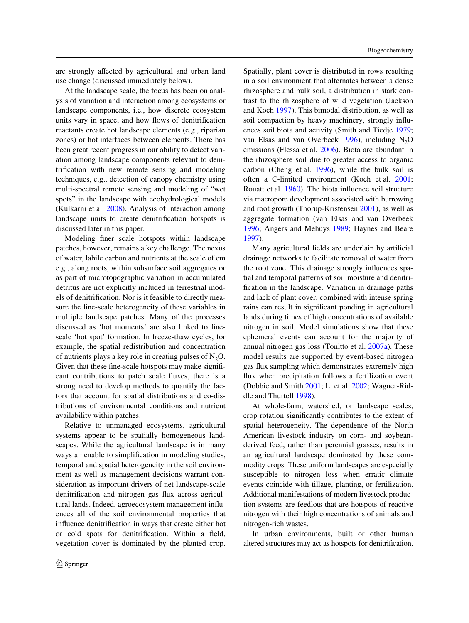are strongly affected by agricultural and urban land use change (discussed immediately below).

At the landscape scale, the focus has been on analysis of variation and interaction among ecosystems or landscape components, i.e., how discrete ecosystem units vary in space, and how flows of denitrification reactants create hot landscape elements (e.g., riparian zones) or hot interfaces between elements. There has been great recent progress in our ability to detect variation among landscape components relevant to denitrification with new remote sensing and modeling techniques, e.g., detection of canopy chemistry using multi-spectral remote sensing and modeling of "wet spots" in the landscape with ecohydrological models (Kulkarni et al. [2008](#page-24-0)). Analysis of interaction among landscape units to create denitrification hotspots is discussed later in this paper.

Modeling finer scale hotspots within landscape patches, however, remains a key challenge. The nexus of water, labile carbon and nutrients at the scale of cm e.g., along roots, within subsurface soil aggregates or as part of microtopographic variation in accumulated detritus are not explicitly included in terrestrial models of denitrification. Nor is it feasible to directly measure the fine-scale heterogeneity of these variables in multiple landscape patches. Many of the processes discussed as 'hot moments' are also linked to finescale 'hot spot' formation. In freeze-thaw cycles, for example, the spatial redistribution and concentration of nutrients plays a key role in creating pulses of  $N_2O$ . Given that these fine-scale hotspots may make significant contributions to patch scale fluxes, there is a strong need to develop methods to quantify the factors that account for spatial distributions and co-distributions of environmental conditions and nutrient availability within patches.

Relative to unmanaged ecosystems, agricultural systems appear to be spatially homogeneous landscapes. While the agricultural landscape is in many ways amenable to simplification in modeling studies, temporal and spatial heterogeneity in the soil environment as well as management decisions warrant consideration as important drivers of net landscape-scale denitrification and nitrogen gas flux across agricultural lands. Indeed, agroecosystem management influences all of the soil environmental properties that influence denitrification in ways that create either hot or cold spots for denitrification. Within a field, vegetation cover is dominated by the planted crop. Spatially, plant cover is distributed in rows resulting in a soil environment that alternates between a dense rhizosphere and bulk soil, a distribution in stark contrast to the rhizosphere of wild vegetation (Jackson and Koch [1997](#page-24-11)). This bimodal distribution, as well as soil compaction by heavy machinery, strongly influences soil biota and activity (Smith and Tiedje [1979;](#page-26-20) van Elsas and van Overbeek [1996](#page-27-10)), including N<sub>2</sub>O emissions (Flessa et al. [2006](#page-22-13)). Biota are abundant in the rhizosphere soil due to greater access to organic carbon (Cheng et al. [1996](#page-21-15)), while the bulk soil is often a C-limited environment (Koch et al. [2001;](#page-24-12) Rouatt et al. [1960](#page-26-21)). The biota influence soil structure via macropore development associated with burrowing and root growth (Thorup-Kristensen [2001\)](#page-27-11), as well as aggregate formation (van Elsas and van Overbeek [1996](#page-27-10); Angers and Mehuys [1989;](#page-20-1) Haynes and Beare [1997](#page-23-15)).

Many agricultural fields are underlain by artificial drainage networks to facilitate removal of water from the root zone. This drainage strongly influences spatial and temporal patterns of soil moisture and denitrification in the landscape. Variation in drainage paths and lack of plant cover, combined with intense spring rains can result in significant ponding in agricultural lands during times of high concentrations of available nitrogen in soil. Model simulations show that these ephemeral events can account for the majority of annual nitrogen gas loss (Tonitto et al. [2007a\)](#page-27-12). These model results are supported by event-based nitrogen gas flux sampling which demonstrates extremely high flux when precipitation follows a fertilization event (Dobbie and Smith [2001;](#page-22-14) Li et al. [2002](#page-24-10); Wagner-Riddle and Thurtell [1998](#page-27-7)).

At whole-farm, watershed, or landscape scales, crop rotation significantly contributes to the extent of spatial heterogeneity. The dependence of the North American livestock industry on corn- and soybeanderived feed, rather than perennial grasses, results in an agricultural landscape dominated by these commodity crops. These uniform landscapes are especially susceptible to nitrogen loss when erratic climate events coincide with tillage, planting, or fertilization. Additional manifestations of modern livestock production systems are feedlots that are hotspots of reactive nitrogen with their high concentrations of animals and nitrogen-rich wastes.

In urban environments, built or other human altered structures may act as hotspots for denitrification.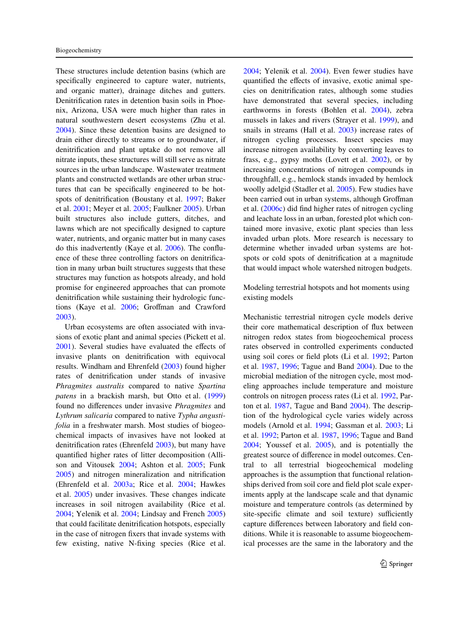These structures include detention basins (which are specifically engineered to capture water, nutrients, and organic matter), drainage ditches and gutters. Denitrification rates in detention basin soils in Phoenix, Arizona, USA were much higher than rates in natural southwestern desert ecosystems (Zhu et al. [2004\)](#page-28-2). Since these detention basins are designed to drain either directly to streams or to groundwater, if denitrification and plant uptake do not remove all nitrate inputs, these structures will still serve as nitrate sources in the urban landscape. Wastewater treatment plants and constructed wetlands are other urban structures that can be specifically engineered to be hot-spots of denitrification (Boustany et al. [1997;](#page-21-16) Baker et al. [2001;](#page-20-2) Meyer et al. [2005](#page-25-17); Faulkner [2005\)](#page-22-15). Urban built structures also include gutters, ditches, and lawns which are not specifically designed to capture water, nutrients, and organic matter but in many cases do this inadvertently (Kaye et al.  $2006$ ). The confluence of these three controlling factors on denitrification in many urban built structures suggests that these structures may function as hotspots already, and hold promise for engineered approaches that can promote denitrification while sustaining their hydrologic func-tions (Kaye et al. [2006](#page-24-13); Groffman and Crawford [2003\)](#page-23-16).

Urban ecosystems are often associated with invasions of exotic plant and animal species (Pickett et al.  $2001$ ). Several studies have evaluated the effects of invasive plants on denitrification with equivocal results. Windham and Ehrenfeld [\(2003](#page-28-3)) found higher rates of denitrification under stands of invasive *Phragmites australis* compared to native *Spartina patens* in a brackish marsh, but Otto et al. ([1999\)](#page-25-19) found no differences under invasive *Phragmites* and *Lythrum salicaria* compared to native *Typha angustifolia* in a freshwater marsh. Most studies of biogeochemical impacts of invasives have not looked at denitrification rates (Ehrenfeld [2003\)](#page-22-16), but many have quantified higher rates of litter decomposition (Allison and Vitousek [2004;](#page-20-3) Ashton et al. [2005;](#page-20-4) Funk  $2005$ ) and nitrogen mineralization and nitrification (Ehrenfeld et al. [2003a;](#page-22-18) Rice et al. [2004;](#page-26-22) Hawkes et al. [2005\)](#page-23-17) under invasives. These changes indicate increases in soil nitrogen availability (Rice et al. [2004;](#page-26-22) Yelenik et al. [2004;](#page-28-4) Lindsay and French [2005\)](#page-24-14) that could facilitate denitrification hotspots, especially in the case of nitrogen fixers that invade systems with few existing, native N-fixing species (Rice et al. [2004](#page-26-22); Yelenik et al. [2004\)](#page-28-4). Even fewer studies have quantified the effects of invasive, exotic animal species on denitrification rates, although some studies have demonstrated that several species, including earthworms in forests (Bohlen et al. [2004](#page-21-17)), zebra mussels in lakes and rivers (Strayer et al. [1999\)](#page-27-13), and snails in streams (Hall et al. [2003\)](#page-23-18) increase rates of nitrogen cycling processes. Insect species may increase nitrogen availability by converting leaves to frass, e.g., gypsy moths (Lovett et al. [2002](#page-24-15)), or by increasing concentrations of nitrogen compounds in throughfall, e.g., hemlock stands invaded by hemlock woolly adelgid (Stadler et al. [2005](#page-27-14)). Few studies have been carried out in urban systems, although Groffman et al.  $(2006c)$  did find higher rates of nitrogen cycling and leachate loss in an urban, forested plot which contained more invasive, exotic plant species than less invaded urban plots. More research is necessary to determine whether invaded urban systems are hotspots or cold spots of denitrification at a magnitude that would impact whole watershed nitrogen budgets.

Modeling terrestrial hotspots and hot moments using existing models

Mechanistic terrestrial nitrogen cycle models derive their core mathematical description of flux between nitrogen redox states from biogeochemical process rates observed in controlled experiments conducted using soil cores or field plots (Li et al. [1992;](#page-24-1) Parton et al. [1987](#page-25-2), [1996](#page-25-20); Tague and Band [2004\)](#page-27-0). Due to the microbial mediation of the nitrogen cycle, most modeling approaches include temperature and moisture controls on nitrogen process rates (Li et al. [1992,](#page-24-1) Parton et al. [1987,](#page-25-2) Tague and Band [2004](#page-27-0)). The description of the hydrological cycle varies widely across models (Arnold et al. [1994;](#page-20-5) Gassman et al. [2003](#page-23-20); Li et al. [1992](#page-24-1); Parton et al. [1987,](#page-25-2) [1996;](#page-25-20) Tague and Band [2004](#page-27-0); Youssef et al. [2005](#page-28-5)), and is potentially the greatest source of difference in model outcomes. Central to all terrestrial biogeochemical modeling approaches is the assumption that functional relationships derived from soil core and field plot scale experiments apply at the landscape scale and that dynamic moisture and temperature controls (as determined by site-specific climate and soil texture) sufficiently capture differences between laboratory and field conditions. While it is reasonable to assume biogeochemical processes are the same in the laboratory and the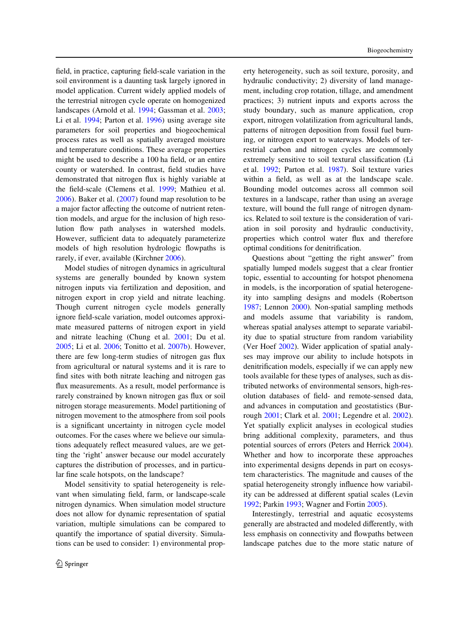field, in practice, capturing field-scale variation in the soil environment is a daunting task largely ignored in model application. Current widely applied models of the terrestrial nitrogen cycle operate on homogenized landscapes (Arnold et al. [1994;](#page-20-5) Gassman et al. [2003;](#page-23-20) Li et al. [1994](#page-24-16); Parton et al. [1996\)](#page-25-20) using average site parameters for soil properties and biogeochemical process rates as well as spatially averaged moisture and temperature conditions. These average properties might be used to describe a 100 ha field, or an entire county or watershed. In contrast, field studies have demonstrated that nitrogen flux is highly variable at the field-scale (Clemens et al. [1999](#page-22-19); Mathieu et al. [2006\)](#page-25-21). Baker et al. ([2007\)](#page-20-6) found map resolution to be a major factor affecting the outcome of nutrient retention models, and argue for the inclusion of high resolution flow path analyses in watershed models. However, sufficient data to adequately parameterize models of high resolution hydrologic flowpaths is rarely, if ever, available (Kirchner [2006\)](#page-24-17).

Model studies of nitrogen dynamics in agricultural systems are generally bounded by known system nitrogen inputs via fertilization and deposition, and nitrogen export in crop yield and nitrate leaching. Though current nitrogen cycle models generally ignore field-scale variation, model outcomes approximate measured patterns of nitrogen export in yield and nitrate leaching (Chung et al. [2001](#page-22-20); Du et al. [2005;](#page-22-21) Li et al. [2006;](#page-24-18) Tonitto et al. [2007b](#page-27-15)). However, there are few long-term studies of nitrogen gas flux from agricultural or natural systems and it is rare to find sites with both nitrate leaching and nitrogen gas flux measurements. As a result, model performance is rarely constrained by known nitrogen gas flux or soil nitrogen storage measurements. Model partitioning of nitrogen movement to the atmosphere from soil pools is a significant uncertainty in nitrogen cycle model outcomes. For the cases where we believe our simulations adequately reflect measured values, are we getting the 'right' answer because our model accurately captures the distribution of processes, and in particular fine scale hotspots, on the landscape?

Model sensitivity to spatial heterogeneity is relevant when simulating field, farm, or landscape-scale nitrogen dynamics. When simulation model structure does not allow for dynamic representation of spatial variation, multiple simulations can be compared to quantify the importance of spatial diversity. Simulations can be used to consider: 1) environmental property heterogeneity, such as soil texture, porosity, and hydraulic conductivity; 2) diversity of land management, including crop rotation, tillage, and amendment practices; 3) nutrient inputs and exports across the study boundary, such as manure application, crop export, nitrogen volatilization from agricultural lands, patterns of nitrogen deposition from fossil fuel burning, or nitrogen export to waterways. Models of terrestrial carbon and nitrogen cycles are commonly extremely sensitive to soil textural classification (Li et al. [1992](#page-24-1); Parton et al. [1987](#page-25-2)). Soil texture varies within a field, as well as at the landscape scale. Bounding model outcomes across all common soil textures in a landscape, rather than using an average texture, will bound the full range of nitrogen dynamics. Related to soil texture is the consideration of variation in soil porosity and hydraulic conductivity, properties which control water flux and therefore optimal conditions for denitrification.

Questions about "getting the right answer" from spatially lumped models suggest that a clear frontier topic, essential to accounting for hotspot phenomena in models, is the incorporation of spatial heterogeneity into sampling designs and models (Robertson [1987](#page-26-23); Lennon [2000\)](#page-24-19). Non-spatial sampling methods and models assume that variability is random, whereas spatial analyses attempt to separate variability due to spatial structure from random variability (Ver Hoef [2002\)](#page-27-16). Wider application of spatial analyses may improve our ability to include hotspots in denitrification models, especially if we can apply new tools available for these types of analyses, such as distributed networks of environmental sensors, high-resolution databases of field- and remote-sensed data, and advances in computation and geostatistics (Burrough [2001](#page-21-18); Clark et al. [2001](#page-22-22); Legendre et al. [2002\)](#page-24-20). Yet spatially explicit analyses in ecological studies bring additional complexity, parameters, and thus potential sources of errors (Peters and Herrick [2004\)](#page-25-22). Whether and how to incorporate these approaches into experimental designs depends in part on ecosystem characteristics. The magnitude and causes of the spatial heterogeneity strongly influence how variability can be addressed at different spatial scales (Levin [1992](#page-24-21); Parkin [1993;](#page-25-23) Wagner and Fortin [2005](#page-27-17)).

Interestingly, terrestrial and aquatic ecosystems generally are abstracted and modeled differently, with less emphasis on connectivity and flowpaths between landscape patches due to the more static nature of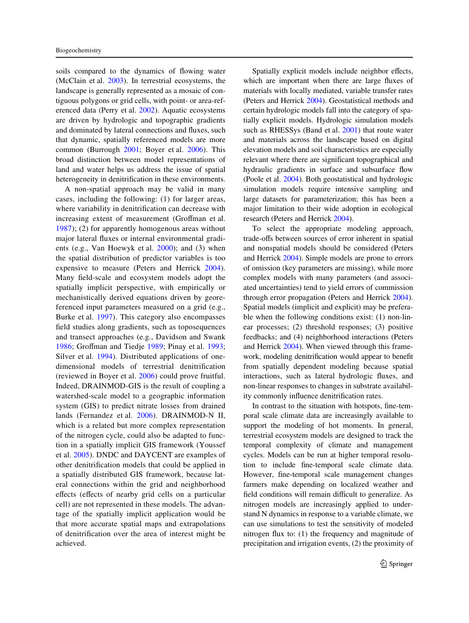soils compared to the dynamics of flowing water (McClain et al. [2003\)](#page-25-0). In terrestrial ecosystems, the landscape is generally represented as a mosaic of contiguous polygons or grid cells, with point- or area-referenced data (Perry et al. [2002\)](#page-25-24). Aquatic ecosystems are driven by hydrologic and topographic gradients and dominated by lateral connections and fluxes, such that dynamic, spatially referenced models are more common (Burrough [2001;](#page-21-18) Boyer et al. [2006\)](#page-21-2). This broad distinction between model representations of land and water helps us address the issue of spatial heterogeneity in denitrification in these environments.

A non-spatial approach may be valid in many cases, including the following: (1) for larger areas, where variability in denitrification can decrease with increasing extent of measurement (Groffman et al. [1987](#page-23-21)); (2) for apparently homogenous areas without major lateral fluxes or internal environmental gradients (e.g., Van Hoewyk et al. [2000\)](#page-27-18); and (3) when the spatial distribution of predictor variables is too expensive to measure (Peters and Herrick [2004](#page-25-22)). Many field-scale and ecosystem models adopt the spatially implicit perspective, with empirically or mechanistically derived equations driven by georeferenced input parameters measured on a grid (e.g., Burke et al. [1997](#page-21-19)). This category also encompasses field studies along gradients, such as toposequences and transect approaches (e.g., Davidson and Swank [1986](#page-22-23); Groffman and Tiedje  $1989$ ; Pinay et al.  $1993$ ; Silver et al. [1994](#page-26-24)). Distributed applications of onedimensional models of terrestrial denitrification (reviewed in Boyer et al. [2006\)](#page-21-2) could prove fruitful. Indeed, DRAINMOD-GIS is the result of coupling a watershed-scale model to a geographic information system (GIS) to predict nitrate losses from drained lands (Fernandez et al. [2006](#page-22-24)). DRAINMOD-N II, which is a related but more complex representation of the nitrogen cycle, could also be adapted to function in a spatially implicit GIS framework (Youssef et al. [2005\)](#page-28-5). DNDC and DAYCENT are examples of other denitrification models that could be applied in a spatially distributed GIS framework, because lateral connections within the grid and neighborhood effects (effects of nearby grid cells on a particular cell) are not represented in these models. The advantage of the spatially implicit application would be that more accurate spatial maps and extrapolations of denitrification over the area of interest might be achieved.

Spatially explicit models include neighbor effects, which are important when there are large fluxes of materials with locally mediated, variable transfer rates (Peters and Herrick [2004](#page-25-22)). Geostatistical methods and certain hydrologic models fall into the category of spatially explicit models. Hydrologic simulation models such as RHESSys (Band et al. [2001](#page-21-20)) that route water and materials across the landscape based on digital elevation models and soil characteristics are especially relevant where there are significant topographical and hydraulic gradients in surface and subsurface flow (Poole et al. [2004\)](#page-25-26). Both geostatistical and hydrologic simulation models require intensive sampling and large datasets for parameterization; this has been a major limitation to their wide adoption in ecological research (Peters and Herrick [2004](#page-25-22)).

To select the appropriate modeling approach, trade-offs between sources of error inherent in spatial and nonspatial models should be considered (Peters and Herrick [2004](#page-25-22)). Simple models are prone to errors of omission (key parameters are missing), while more complex models with many parameters (and associated uncertainties) tend to yield errors of commission through error propagation (Peters and Herrick [2004\)](#page-25-22). Spatial models (implicit and explicit) may be preferable when the following conditions exist: (1) non-linear processes; (2) threshold responses; (3) positive feedbacks; and (4) neighborhood interactions (Peters and Herrick [2004\)](#page-25-22). When viewed through this framework, modeling denitrification would appear to benefit from spatially dependent modeling because spatial interactions, such as lateral hydrologic fluxes, and non-linear responses to changes in substrate availability commonly influence denitrification rates.

In contrast to the situation with hotspots, fine-temporal scale climate data are increasingly available to support the modeling of hot moments. In general, terrestrial ecosystem models are designed to track the temporal complexity of climate and management cycles. Models can be run at higher temporal resolution to include fine-temporal scale climate data. However, fine-temporal scale management changes farmers make depending on localized weather and field conditions will remain difficult to generalize. As nitrogen models are increasingly applied to understand N dynamics in response to a variable climate, we can use simulations to test the sensitivity of modeled nitrogen flux to:  $(1)$  the frequency and magnitude of precipitation and irrigation events, (2) the proximity of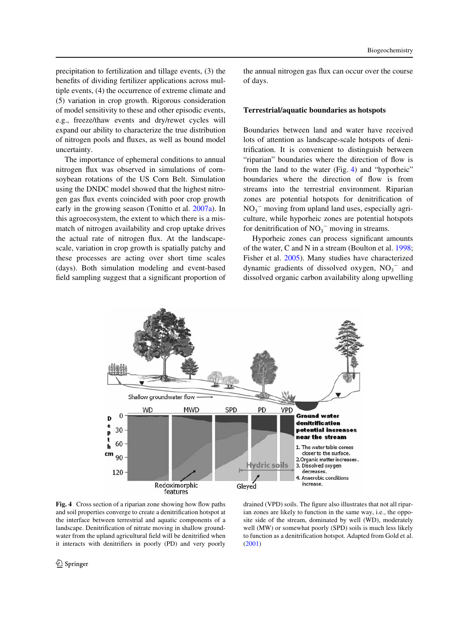precipitation to fertilization and tillage events, (3) the benefits of dividing fertilizer applications across multiple events, (4) the occurrence of extreme climate and (5) variation in crop growth. Rigorous consideration of model sensitivity to these and other episodic events, e.g., freeze/thaw events and dry/rewet cycles will expand our ability to characterize the true distribution of nitrogen pools and fluxes, as well as bound model uncertainty.

The importance of ephemeral conditions to annual nitrogen flux was observed in simulations of cornsoybean rotations of the US Corn Belt. Simulation using the DNDC model showed that the highest nitrogen gas flux events coincided with poor crop growth early in the growing season (Tonitto et al. [2007a](#page-27-12)). In this agroecosystem, the extent to which there is a mismatch of nitrogen availability and crop uptake drives the actual rate of nitrogen flux. At the landscapescale, variation in crop growth is spatially patchy and these processes are acting over short time scales (days). Both simulation modeling and event-based field sampling suggest that a significant proportion of the annual nitrogen gas flux can occur over the course of days.

## **Terrestrial/aquatic boundaries as hotspots**

Boundaries between land and water have received lots of attention as landscape-scale hotspots of denitrification. It is convenient to distinguish between "riparian" boundaries where the direction of flow is from the land to the water (Fig. [4\)](#page-11-0) and "hyporheic" boundaries where the direction of flow is from streams into the terrestrial environment. Riparian zones are potential hotspots for denitrification of  $NO<sub>3</sub><sup>-</sup>$  moving from upland land uses, especially agriculture, while hyporheic zones are potential hotspots for denitrification of  $NO_3^-$  moving in streams.

Hyporheic zones can process significant amounts of the water, C and N in a stream (Boulton et al. [1998;](#page-21-21) Fisher et al. [2005\)](#page-22-25). Many studies have characterized dynamic gradients of dissolved oxygen,  $NO<sub>3</sub><sup>-</sup>$  and dissolved organic carbon availability along upwelling



<span id="page-11-0"></span>Fig. 4 Cross section of a riparian zone showing how flow paths and soil properties converge to create a denitrification hotspot at the interface between terrestrial and aquatic components of a landscape. Denitrification of nitrate moving in shallow groundwater from the upland agricultural field will be denitrified when it interacts with denitrifiers in poorly (PD) and very poorly

drained (VPD) soils. The figure also illustrates that not all riparian zones are likely to function in the same way, i.e., the opposite side of the stream, dominated by well (WD), moderately well (MW) or somewhat poorly (SPD) soils is much less likely to function as a denitrification hotspot. Adapted from Gold et al. ([2001\)](#page-23-22)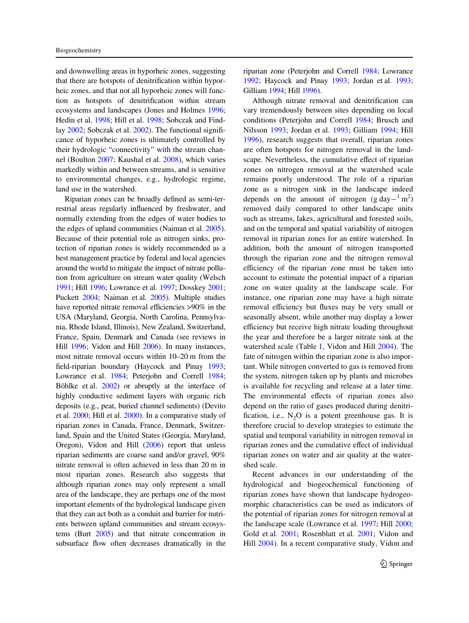and downwelling areas in hyporheic zones, suggesting that there are hotspots of denitrification within hyporheic zones, and that not all hyporheic zones will function as hotspots of denitrification within stream ecosystems and landscapes (Jones and Holmes [1996;](#page-24-22) Hedin et al. [1998;](#page-23-23) Hill et al. [1998;](#page-23-24) Sobczak and Findlay  $2002$ ; Sobczak et al.  $2002$ ). The functional significance of hyporheic zones is ultimately controlled by their hydrologic "connectivity" with the stream channel (Boulton [2007;](#page-21-22) Kaushal et al. [2008\)](#page-24-23), which varies markedly within and between streams, and is sensitive to environmental changes, e.g., hydrologic regime, land use in the watershed.

Riparian zones can be broadly defined as semi-terrestrial areas regularly influenced by freshwater, and normally extending from the edges of water bodies to the edges of upland communities (Naiman et al. [2005\)](#page-25-27). Because of their potential role as nitrogen sinks, protection of riparian zones is widely recommended as a best management practice by federal and local agencies around the world to mitigate the impact of nitrate pollution from agriculture on stream water quality (Welsch [1991](#page-27-21); Hill [1996;](#page-23-25) Lowrance et al. [1997](#page-25-28); Dosskey [2001;](#page-22-26) Puckett [2004](#page-26-25); Naiman et al. [2005\)](#page-25-27). Multiple studies have reported nitrate removal efficiencies  $>90\%$  in the USA (Maryland, Georgia, North Carolina, Pennsylvania, Rhode Island, Illinois), New Zealand, Switzerland, France, Spain, Denmark and Canada (see reviews in Hill [1996;](#page-23-25) Vidon and Hill [2006\)](#page-27-22). In many instances, most nitrate removal occurs within 10–20 m from the field-riparian boundary (Haycock and Pinay [1993;](#page-23-26) Lowrance et al. [1984;](#page-25-29) Peterjohn and Correll [1984;](#page-25-30) Böhlke et al. [2002\)](#page-21-23) or abruptly at the interface of highly conductive sediment layers with organic rich deposits (e.g., peat, buried channel sediments) (Devito et al. [2000](#page-22-27); Hill et al. [2000\)](#page-23-27). In a comparative study of riparian zones in Canada, France, Denmark, Switzerland, Spain and the United States (Georgia, Maryland, Oregon), Vidon and Hill ([2006](#page-27-22)) report that unless riparian sediments are coarse sand and/or gravel, 90% nitrate removal is often achieved in less than 20 m in most riparian zones. Research also suggests that although riparian zones may only represent a small area of the landscape, they are perhaps one of the most important elements of the hydrological landscape given that they can act both as a conduit and barrier for nutrients between upland communities and stream ecosystems (Burt [2005\)](#page-21-24) and that nitrate concentration in subsurface flow often decreases dramatically in the

riparian zone (Peterjohn and Correll [1984;](#page-25-30) Lowrance [1992;](#page-24-24) Haycock and Pinay [1993;](#page-23-26) Jordan et al. [1993;](#page-24-25) Gilliam [1994;](#page-23-28) Hill [1996\)](#page-23-25).

Although nitrate removal and denitrification can vary tremendously between sites depending on local conditions (Peterjohn and Correll [1984](#page-25-30); Brusch and Nilsson [1993](#page-21-25); Jordan et al. [1993](#page-24-25); Gilliam [1994;](#page-23-28) Hill [1996](#page-23-25)), research suggests that overall, riparian zones are often hotspots for nitrogen removal in the landscape. Nevertheless, the cumulative effect of riparian zones on nitrogen removal at the watershed scale remains poorly understood. The role of a riparian zone as a nitrogen sink in the landscape indeed depends on the amount of nitrogen  $(g \, day^{-1} \, m^2)$ removed daily compared to other landscape units such as streams, lakes, agricultural and forested soils, and on the temporal and spatial variability of nitrogen removal in riparian zones for an entire watershed. In addition, both the amount of nitrogen transported through the riparian zone and the nitrogen removal efficiency of the riparian zone must be taken into account to estimate the potential impact of a riparian zone on water quality at the landscape scale. For instance, one riparian zone may have a high nitrate removal efficiency but fluxes may be very small or seasonally absent, while another may display a lower efficiency but receive high nitrate loading throughout the year and therefore be a larger nitrate sink at the watershed scale (Table [1,](#page-13-0) Vidon and Hill [2004\)](#page-27-23). The fate of nitrogen within the riparian zone is also important. While nitrogen converted to gas is removed from the system, nitrogen taken up by plants and microbes is available for recycling and release at a later time. The environmental effects of riparian zones also depend on the ratio of gases produced during denitrification, i.e.,  $N_2O$  is a potent greenhouse gas. It is therefore crucial to develop strategies to estimate the spatial and temporal variability in nitrogen removal in riparian zones and the cumulative effect of individual riparian zones on water and air quality at the watershed scale.

Recent advances in our understanding of the hydrological and biogeochemical functioning of riparian zones have shown that landscape hydrogeomorphic characteristics can be used as indicators of the potential of riparian zones for nitrogen removal at the landscape scale (Lowrance et al. [1997;](#page-25-28) Hill [2000;](#page-23-29) Gold et al. [2001;](#page-23-22) Rosenblatt et al. [2001;](#page-26-26) Vidon and Hill [2004\)](#page-27-23). In a recent comparative study, Vidon and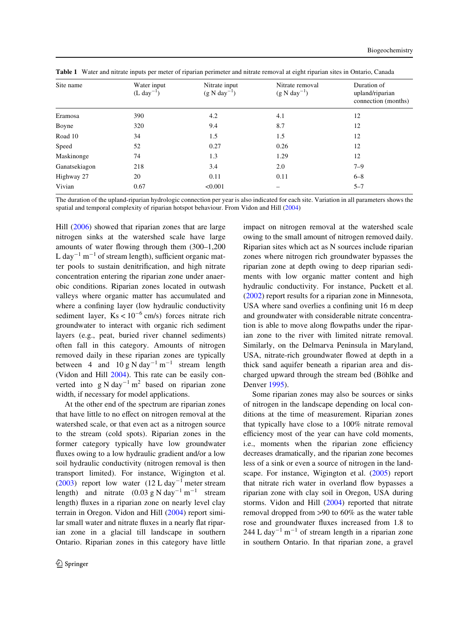| Site name     | Water input<br>$(L day^{-1})$ | Nitrate input<br>$(g N day^{-1})$ | Nitrate removal<br>$(g N day^{-1})$ | Duration of<br>upland/riparian<br>connection (months) |
|---------------|-------------------------------|-----------------------------------|-------------------------------------|-------------------------------------------------------|
| Eramosa       | 390                           | 4.2                               | 4.1                                 | 12                                                    |
| Boyne         | 320                           | 9.4                               | 8.7                                 | 12                                                    |
| Road 10       | 34                            | 1.5                               | 1.5                                 | 12                                                    |
| Speed         | 52                            | 0.27                              | 0.26                                | 12                                                    |
| Maskinonge    | 74                            | 1.3                               | 1.29                                | 12                                                    |
| Ganatsekiagon | 218                           | 3.4                               | 2.0                                 | $7 - 9$                                               |
| Highway 27    | 20                            | 0.11                              | 0.11                                | $6 - 8$                                               |
| Vivian        | 0.67                          | < 0.001                           | $\overline{\phantom{0}}$            | $5 - 7$                                               |

<span id="page-13-0"></span>**Table 1** Water and nitrate inputs per meter of riparian perimeter and nitrate removal at eight riparian sites in Ontario, Canada

The duration of the upland-riparian hydrologic connection per year is also indicated for each site. Variation in all parameters shows the spatial and temporal complexity of riparian hotspot behaviour. From Vidon and Hill ([2004\)](#page-27-23)

Hill [\(2006](#page-27-22)) showed that riparian zones that are large nitrogen sinks at the watershed scale have large amounts of water flowing through them  $(300-1,200)$ L day<sup>-1</sup> m<sup>-1</sup> of stream length), sufficient organic matter pools to sustain denitrification, and high nitrate concentration entering the riparian zone under anaerobic conditions. Riparian zones located in outwash valleys where organic matter has accumulated and where a confining layer (low hydraulic conductivity sediment layer,  $Ks < 10^{-6}$  cm/s) forces nitrate rich groundwater to interact with organic rich sediment layers (e.g., peat, buried river channel sediments) often fall in this category. Amounts of nitrogen removed daily in these riparian zones are typically between 4 and 10 g N day<sup>-1</sup> m<sup>-1</sup> stream length (Vidon and Hill [2004\)](#page-27-23). This rate can be easily converted into  $g N day^{-1} m^2$  based on riparian zone width, if necessary for model applications.

At the other end of the spectrum are riparian zones that have little to no effect on nitrogen removal at the watershed scale, or that even act as a nitrogen source to the stream (cold spots). Riparian zones in the former category typically have low groundwater fluxes owing to a low hydraulic gradient and/or a low soil hydraulic conductivity (nitrogen removal is then transport limited). For instance, Wigington et al. [\(2003](#page-27-24)) report low water  $(12 \text{ L day}^{-1})$  meter stream length) and nitrate  $(0.03 \text{ g N day}^{-1} \text{ m}^{-1})$  stream length) fluxes in a riparian zone on nearly level clay terrain in Oregon. Vidon and Hill ([2004\)](#page-27-23) report similar small water and nitrate fluxes in a nearly flat riparian zone in a glacial till landscape in southern Ontario. Riparian zones in this category have little impact on nitrogen removal at the watershed scale owing to the small amount of nitrogen removed daily. Riparian sites which act as N sources include riparian zones where nitrogen rich groundwater bypasses the riparian zone at depth owing to deep riparian sediments with low organic matter content and high hydraulic conductivity. For instance, Puckett et al. [\(2002](#page-26-27)) report results for a riparian zone in Minnesota, USA where sand overlies a confining unit 16 m deep and groundwater with considerable nitrate concentration is able to move along flowpaths under the riparian zone to the river with limited nitrate removal. Similarly, on the Delmarva Peninsula in Maryland, USA, nitrate-rich groundwater flowed at depth in a thick sand aquifer beneath a riparian area and discharged upward through the stream bed (Böhlke and Denver [1995\)](#page-21-26).

Some riparian zones may also be sources or sinks of nitrogen in the landscape depending on local conditions at the time of measurement. Riparian zones that typically have close to a 100% nitrate removal efficiency most of the year can have cold moments, i.e., moments when the riparian zone efficiency decreases dramatically, and the riparian zone becomes less of a sink or even a source of nitrogen in the landscape. For instance, Wigington et al. [\(2005](#page-28-6)) report that nitrate rich water in overland flow bypasses a riparian zone with clay soil in Oregon, USA during storms. Vidon and Hill [\(2004](#page-27-23)) reported that nitrate removal dropped from >90 to 60% as the water table rose and groundwater fluxes increased from 1.8 to 244 L day<sup>-1</sup> m<sup>-1</sup> of stream length in a riparian zone in southern Ontario. In that riparian zone, a gravel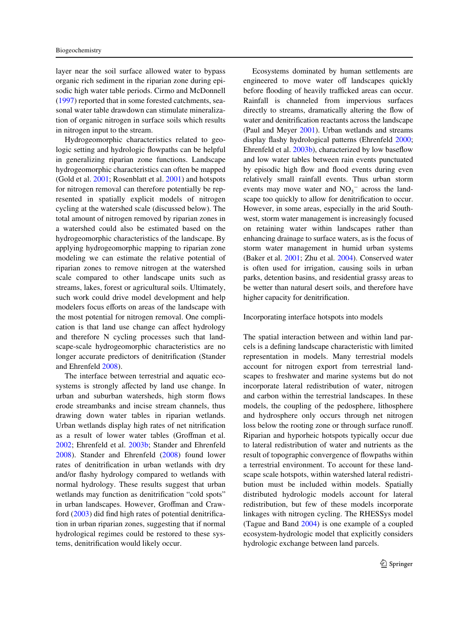layer near the soil surface allowed water to bypass organic rich sediment in the riparian zone during episodic high water table periods. Cirmo and McDonnell [\(1997](#page-22-28)) reported that in some forested catchments, seasonal water table drawdown can stimulate mineralization of organic nitrogen in surface soils which results in nitrogen input to the stream.

Hydrogeomorphic characteristics related to geologic setting and hydrologic flowpaths can be helpful in generalizing riparian zone functions. Landscape hydrogeomorphic characteristics can often be mapped (Gold et al. [2001](#page-23-22); Rosenblatt et al. [2001\)](#page-26-26) and hotspots for nitrogen removal can therefore potentially be represented in spatially explicit models of nitrogen cycling at the watershed scale (discussed below). The total amount of nitrogen removed by riparian zones in a watershed could also be estimated based on the hydrogeomorphic characteristics of the landscape. By applying hydrogeomorphic mapping to riparian zone modeling we can estimate the relative potential of riparian zones to remove nitrogen at the watershed scale compared to other landscape units such as streams, lakes, forest or agricultural soils. Ultimately, such work could drive model development and help modelers focus efforts on areas of the landscape with the most potential for nitrogen removal. One complication is that land use change can affect hydrology and therefore N cycling processes such that landscape-scale hydrogeomorphic characteristics are no longer accurate predictors of denitrification (Stander and Ehrenfeld [2008\)](#page-27-25).

The interface between terrestrial and aquatic ecosystems is strongly affected by land use change. In urban and suburban watersheds, high storm flows erode streambanks and incise stream channels, thus drawing down water tables in riparian wetlands. Urban wetlands display high rates of net nitrification as a result of lower water tables (Groffman et al. [2002;](#page-23-30) Ehrenfeld et al. [2003b](#page-22-29); Stander and Ehrenfeld [2008\)](#page-27-25). Stander and Ehrenfeld [\(2008](#page-27-25)) found lower rates of denitrification in urban wetlands with dry and/or flashy hydrology compared to wetlands with normal hydrology. These results suggest that urban wetlands may function as denitrification "cold spots" in urban landscapes. However, Groffman and Crawford  $(2003)$  $(2003)$  did find high rates of potential denitrification in urban riparian zones, suggesting that if normal hydrological regimes could be restored to these systems, denitrification would likely occur.

Ecosystems dominated by human settlements are engineered to move water off landscapes quickly before flooding of heavily trafficked areas can occur. Rainfall is channeled from impervious surfaces directly to streams, dramatically altering the flow of water and denitrification reactants across the landscape (Paul and Meyer [2001](#page-25-31)). Urban wetlands and streams display flashy hydrological patterns (Ehrenfeld [2000;](#page-22-30) Ehrenfeld et al. [2003b\)](#page-22-29), characterized by low baseflow and low water tables between rain events punctuated by episodic high flow and flood events during even relatively small rainfall events. Thus urban storm events may move water and  $NO_3^-$  across the landscape too quickly to allow for denitrification to occur. However, in some areas, especially in the arid Southwest, storm water management is increasingly focused on retaining water within landscapes rather than enhancing drainage to surface waters, as is the focus of storm water management in humid urban systems (Baker et al. [2001](#page-20-2); Zhu et al. [2004](#page-28-2)). Conserved water is often used for irrigation, causing soils in urban parks, detention basins, and residential grassy areas to be wetter than natural desert soils, and therefore have higher capacity for denitrification.

#### Incorporating interface hotspots into models

The spatial interaction between and within land parcels is a defining landscape characteristic with limited representation in models. Many terrestrial models account for nitrogen export from terrestrial landscapes to freshwater and marine systems but do not incorporate lateral redistribution of water, nitrogen and carbon within the terrestrial landscapes. In these models, the coupling of the pedosphere, lithosphere and hydrosphere only occurs through net nitrogen loss below the rooting zone or through surface runoff. Riparian and hyporheic hotspots typically occur due to lateral redistribution of water and nutrients as the result of topographic convergence of flowpaths within a terrestrial environment. To account for these landscape scale hotspots, within watershed lateral redistribution must be included within models. Spatially distributed hydrologic models account for lateral redistribution, but few of these models incorporate linkages with nitrogen cycling. The RHESSys model (Tague and Band [2004](#page-27-0)) is one example of a coupled ecosystem-hydrologic model that explicitly considers hydrologic exchange between land parcels.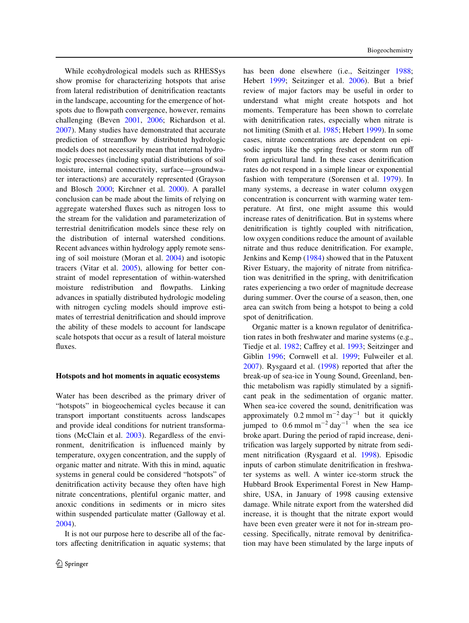While ecohydrological models such as RHESSys show promise for characterizing hotspots that arise from lateral redistribution of denitrification reactants in the landscape, accounting for the emergence of hotspots due to flowpath convergence, however, remains challenging (Beven [2001](#page-21-27), [2006;](#page-21-28) Richardson et al. [2007\)](#page-26-28). Many studies have demonstrated that accurate prediction of streamflow by distributed hydrologic models does not necessarily mean that internal hydrologic processes (including spatial distributions of soil moisture, internal connectivity, surface—groundwater interactions) are accurately represented (Grayson and Blosch [2000](#page-23-31); Kirchner et al. [2000\)](#page-24-26). A parallel conclusion can be made about the limits of relying on aggregate watershed fluxes such as nitrogen loss to the stream for the validation and parameterization of terrestrial denitrification models since these rely on the distribution of internal watershed conditions. Recent advances within hydrology apply remote sensing of soil moisture (Moran et al. [2004](#page-25-32)) and isotopic tracers (Vitar et al. [2005\)](#page-27-26), allowing for better constraint of model representation of within-watershed moisture redistribution and flowpaths. Linking advances in spatially distributed hydrologic modeling with nitrogen cycling models should improve estimates of terrestrial denitrification and should improve the ability of these models to account for landscape scale hotspots that occur as a result of lateral moisture fluxes.

## **Hotspots and hot moments in aquatic ecosystems**

Water has been described as the primary driver of "hotspots" in biogeochemical cycles because it can transport important constituents across landscapes and provide ideal conditions for nutrient transformations (McClain et al. [2003\)](#page-25-0). Regardless of the environment, denitrification is influenced mainly by temperature, oxygen concentration, and the supply of organic matter and nitrate. With this in mind, aquatic systems in general could be considered "hotspots" of denitrification activity because they often have high nitrate concentrations, plentiful organic matter, and anoxic conditions in sediments or in micro sites within suspended particulate matter (Galloway et al. [2004\)](#page-22-31).

It is not our purpose here to describe all of the factors affecting denitrification in aquatic systems; that has been done elsewhere (i.e., Seitzinger [1988;](#page-26-29) Hebert [1999](#page-23-32); Seitzinger et al. [2006\)](#page-26-5). But a brief review of major factors may be useful in order to understand what might create hotspots and hot moments. Temperature has been shown to correlate with denitrification rates, especially when nitrate is not limiting (Smith et al. [1985;](#page-27-27) Hebert [1999](#page-23-32)). In some cases, nitrate concentrations are dependent on episodic inputs like the spring freshet or storm run off from agricultural land. In these cases denitrification rates do not respond in a simple linear or exponential fashion with temperature (Sorensen et al. [1979\)](#page-27-28). In many systems, a decrease in water column oxygen concentration is concurrent with warming water temperature. At first, one might assume this would increase rates of denitrification. But in systems where denitrification is tightly coupled with nitrification, low oxygen conditions reduce the amount of available nitrate and thus reduce denitrification. For example, Jenkins and Kemp [\(1984](#page-24-27)) showed that in the Patuxent River Estuary, the majority of nitrate from nitrification was denitrified in the spring, with denitrification rates experiencing a two order of magnitude decrease during summer. Over the course of a season, then, one area can switch from being a hotspot to being a cold spot of denitrification.

Organic matter is a known regulator of denitrification rates in both freshwater and marine systems (e.g., Tiedje et al. [1982](#page-27-29); Caffrey et al. [1993;](#page-21-29) Seitzinger and Giblin [1996;](#page-26-3) Cornwell et al. [1999;](#page-22-32) Fulweiler et al. [2007](#page-22-33)). Rysgaard et al. [\(1998\)](#page-26-30) reported that after the break-up of sea-ice in Young Sound, Greenland, benthic metabolism was rapidly stimulated by a significant peak in the sedimentation of organic matter. When sea-ice covered the sound, denitrification was approximately 0.2 mmol  $m^{-2}$  day<sup>-1</sup> but it quickly jumped to 0.6 mmol  $m^{-2}$  day<sup>-1</sup> when the sea ice broke apart. During the period of rapid increase, denitrification was largely supported by nitrate from sedi-ment nitrification (Rysgaard et al. [1998](#page-26-30)). Episodic inputs of carbon stimulate denitrification in freshwater systems as well. A winter ice-storm struck the Hubbard Brook Experimental Forest in New Hampshire, USA, in January of 1998 causing extensive damage. While nitrate export from the watershed did increase, it is thought that the nitrate export would have been even greater were it not for in-stream processing. Specifically, nitrate removal by denitrification may have been stimulated by the large inputs of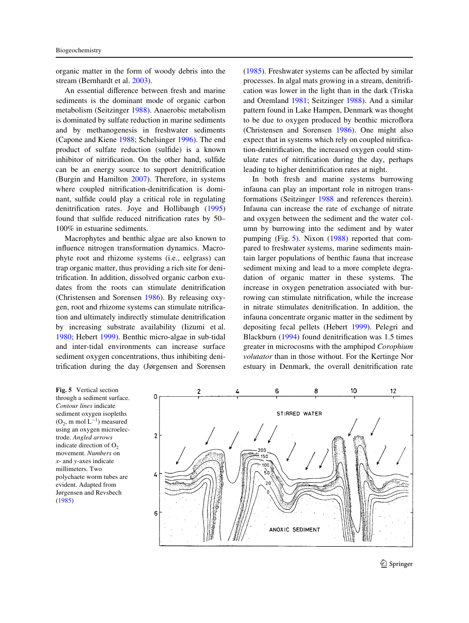organic matter in the form of woody debris into the stream (Bernhardt et al. [2003\)](#page-21-30).

An essential difference between fresh and marine sediments is the dominant mode of organic carbon metabolism (Seitzinger [1988\)](#page-26-29). Anaerobic metabolism is dominated by sulfate reduction in marine sediments and by methanogenesis in freshwater sediments (Capone and Kiene [1988;](#page-21-31) Schelsinger [1996](#page-26-31)). The end product of sulfate reduction (sulfide) is a known inhibitor of nitrification. On the other hand, sulfide can be an energy source to support denitrification (Burgin and Hamilton [2007\)](#page-21-32). Therefore, in systems where coupled nitrification-denitrification is dominant, sulfide could play a critical role in regulating denitrification rates. Joye and Hollibaugh  $(1995)$  $(1995)$ found that sulfide reduced nitrification rates by 50– 100% in estuarine sediments.

Macrophytes and benthic algae are also known to influence nitrogen transformation dynamics. Macrophyte root and rhizome systems (i.e., eelgrass) can trap organic matter, thus providing a rich site for denitrification. In addition, dissolved organic carbon exudates from the roots can stimulate denitrification (Christensen and Sorensen [1986](#page-21-33)). By releasing oxygen, root and rhizome systems can stimulate nitrification and ultimately indirectly stimulate denitrification by increasing substrate availability (Iizumi et al. [1980;](#page-24-29) Hebert [1999\)](#page-23-32). Benthic micro-algae in sub-tidal and inter-tidal environments can increase surface sediment oxygen concentrations, thus inhibiting denitrification during the day (Jørgensen and Sorensen  $(1985)$  $(1985)$ . Freshwater systems can be affected by similar processes. In algal mats growing in a stream, denitrification was lower in the light than in the dark (Triska and Oremland [1981;](#page-27-30) Seitzinger [1988\)](#page-26-29). And a similar pattern found in Lake Hampen, Denmark was thought to be due to oxygen produced by benthic microflora (Christensen and Sorensen [1986\)](#page-21-33). One might also expect that in systems which rely on coupled nitrification-denitrification, the increased oxygen could stimulate rates of nitrification during the day, perhaps leading to higher denitrification rates at night.

In both fresh and marine systems burrowing infauna can play an important role in nitrogen transformations (Seitzinger [1988](#page-26-29) and references therein). Infauna can increase the rate of exchange of nitrate and oxygen between the sediment and the water column by burrowing into the sediment and by water pumping (Fig. [5\)](#page-16-0). Nixon ([1988\)](#page-25-33) reported that compared to freshwater systems, marine sediments maintain larger populations of benthic fauna that increase sediment mixing and lead to a more complete degradation of organic matter in these systems. The increase in oxygen penetration associated with burrowing can stimulate nitrification, while the increase in nitrate stimulates denitrification. In addition, the infauna concentrate organic matter in the sediment by depositing fecal pellets (Hebert [1999](#page-23-32)). Pelegri and Blackburn  $(1994)$  $(1994)$  found denitrification was 1.5 times greater in microcosms with the amphipod *Corophium volutator* than in those without. For the Kertinge Nor estuary in Denmark, the overall denitrification rate

<span id="page-16-0"></span>**Fig. 5** Vertical section through a sediment surface. *Contour lines* indicate sediment oxygen isopleths  $(O_2, m \text{ mol } L^{-1})$  measured using an oxygen microelectrode. *Angled arrows* indicate direction of  $O<sub>2</sub>$ movement. *Numbers* on *x*- and *y*-axes indicate millimeters. Two polychaete worm tubes are evident. Adapted from Jørgensen and Revsbech ([1985\)](#page-24-31)

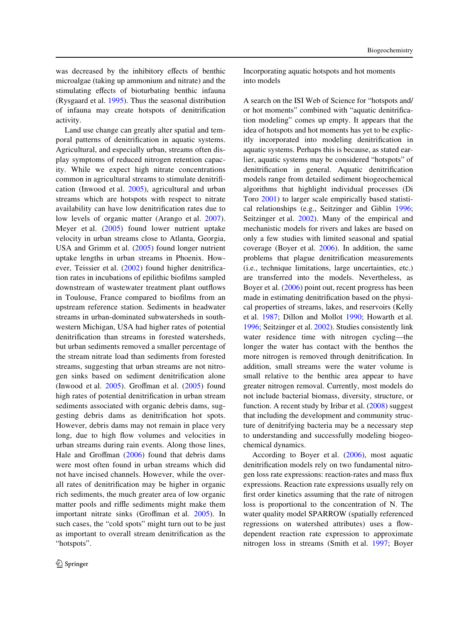was decreased by the inhibitory effects of benthic microalgae (taking up ammonium and nitrate) and the stimulating effects of bioturbating benthic infauna (Rysgaard et al. [1995](#page-26-32)). Thus the seasonal distribution of infauna may create hotspots of denitrification activity.

Land use change can greatly alter spatial and temporal patterns of denitrification in aquatic systems. Agricultural, and especially urban, streams often display symptoms of reduced nitrogen retention capacity. While we expect high nitrate concentrations common in agricultural streams to stimulate denitrification (Inwood et al. [2005\)](#page-24-32), agricultural and urban streams which are hotspots with respect to nitrate availability can have low denitrification rates due to low levels of organic matter (Arango et al. [2007](#page-20-7)). Meyer et al. ([2005\)](#page-25-17) found lower nutrient uptake velocity in urban streams close to Atlanta, Georgia, USA and Grimm et al. [\(2005\)](#page-23-33) found longer nutrient uptake lengths in urban streams in Phoenix. However, Teissier et al.  $(2002)$  found higher denitrification rates in incubations of epilithic biofilms sampled downstream of wastewater treatment plant outflows in Toulouse, France compared to biofilms from an upstream reference station. Sediments in headwater streams in urban-dominated subwatersheds in southwestern Michigan, USA had higher rates of potential denitrification than streams in forested watersheds, but urban sediments removed a smaller percentage of the stream nitrate load than sediments from forested streams, suggesting that urban streams are not nitrogen sinks based on sediment denitrification alone (Inwood et al.  $2005$ ). Groffman et al.  $(2005)$  $(2005)$  found high rates of potential denitrification in urban stream sediments associated with organic debris dams, suggesting debris dams as denitrification hot spots. However, debris dams may not remain in place very long, due to high flow volumes and velocities in urban streams during rain events. Along those lines, Hale and Groffman  $(2006)$  $(2006)$  $(2006)$  found that debris dams were most often found in urban streams which did not have incised channels. However, while the overall rates of denitrification may be higher in organic rich sediments, the much greater area of low organic matter pools and riffle sediments might make them important nitrate sinks (Groffman et al. [2005](#page-23-34)). In such cases, the "cold spots" might turn out to be just as important to overall stream denitrification as the "hotspots".

Incorporating aquatic hotspots and hot moments into models

A search on the ISI Web of Science for "hotspots and/ or hot moments" combined with "aquatic denitrification modeling" comes up empty. It appears that the idea of hotspots and hot moments has yet to be explicitly incorporated into modeling denitrification in aquatic systems. Perhaps this is because, as stated earlier, aquatic systems may be considered "hotspots" of denitrification in general. Aquatic denitrification models range from detailed sediment biogeochemical algorithms that highlight individual processes (Di Toro [2001\)](#page-22-4) to larger scale empirically based statistical relationships (e.g., Seitzinger and Giblin [1996;](#page-26-3) Seitzinger et al. [2002\)](#page-26-4). Many of the empirical and mechanistic models for rivers and lakes are based on only a few studies with limited seasonal and spatial coverage (Boyer et al. [2006](#page-21-2)). In addition, the same problems that plague denitrification measurements (i.e., technique limitations, large uncertainties, etc.) are transferred into the models. Nevertheless, as Boyer et al. ([2006\)](#page-21-2) point out, recent progress has been made in estimating denitrification based on the physical properties of streams, lakes, and reservoirs (Kelly et al. [1987;](#page-24-33) Dillon and Mollot [1990;](#page-22-34) Howarth et al. [1996](#page-24-2); Seitzinger et al. [2002\)](#page-26-4). Studies consistently link water residence time with nitrogen cycling—the longer the water has contact with the benthos the more nitrogen is removed through denitrification. In addition, small streams were the water volume is small relative to the benthic area appear to have greater nitrogen removal. Currently, most models do not include bacterial biomass, diversity, structure, or function. A recent study by Iribar et al. ([2008\)](#page-24-34) suggest that including the development and community structure of denitrifying bacteria may be a necessary step to understanding and successfully modeling biogeochemical dynamics.

According to Boyer et al. [\(2006](#page-21-2)), most aquatic denitrification models rely on two fundamental nitrogen loss rate expressions: reaction-rates and mass flux expressions. Reaction rate expressions usually rely on first order kinetics assuming that the rate of nitrogen loss is proportional to the concentration of N. The water quality model SPARROW (spatially referenced regressions on watershed attributes) uses a flowdependent reaction rate expression to approximate nitrogen loss in streams (Smith et al. [1997](#page-27-32); Boyer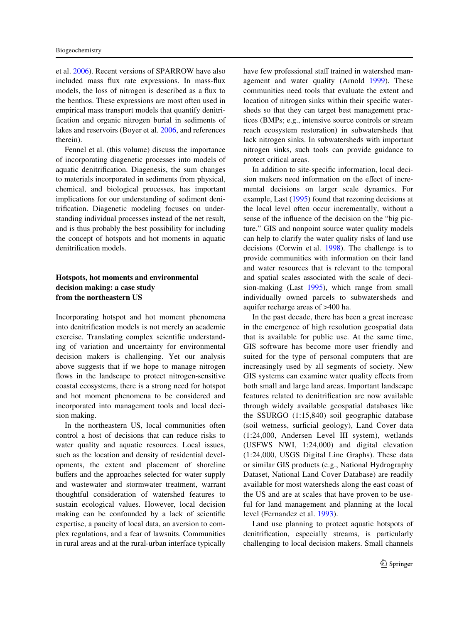et al. [2006\)](#page-21-2). Recent versions of SPARROW have also included mass flux rate expressions. In mass-flux models, the loss of nitrogen is described as a flux to the benthos. These expressions are most often used in empirical mass transport models that quantify denitrification and organic nitrogen burial in sediments of lakes and reservoirs (Boyer et al. [2006,](#page-21-2) and references therein).

Fennel et al. (this volume) discuss the importance of incorporating diagenetic processes into models of aquatic denitrification. Diagenesis, the sum changes to materials incorporated in sediments from physical, chemical, and biological processes, has important implications for our understanding of sediment denitrification. Diagenetic modeling focuses on understanding individual processes instead of the net result, and is thus probably the best possibility for including the concept of hotspots and hot moments in aquatic denitrification models.

# **Hotspots, hot moments and environmental decision making: a case study from the northeastern US**

Incorporating hotspot and hot moment phenomena into denitrification models is not merely an academic exercise. Translating complex scientific understanding of variation and uncertainty for environmental decision makers is challenging. Yet our analysis above suggests that if we hope to manage nitrogen flows in the landscape to protect nitrogen-sensitive coastal ecosystems, there is a strong need for hotspot and hot moment phenomena to be considered and incorporated into management tools and local decision making.

In the northeastern US, local communities often control a host of decisions that can reduce risks to water quality and aquatic resources. Local issues, such as the location and density of residential developments, the extent and placement of shoreline buffers and the approaches selected for water supply and wastewater and stormwater treatment, warrant thoughtful consideration of watershed features to sustain ecological values. However, local decision making can be confounded by a lack of scientific expertise, a paucity of local data, an aversion to complex regulations, and a fear of lawsuits. Communities in rural areas and at the rural-urban interface typically have few professional staff trained in watershed management and water quality (Arnold [1999\)](#page-20-8). These communities need tools that evaluate the extent and location of nitrogen sinks within their specific watersheds so that they can target best management practices (BMPs; e.g., intensive source controls or stream reach ecosystem restoration) in subwatersheds that lack nitrogen sinks. In subwatersheds with important nitrogen sinks, such tools can provide guidance to protect critical areas.

In addition to site-specific information, local decision makers need information on the effect of incremental decisions on larger scale dynamics. For example, Last ([1995\)](#page-24-35) found that rezoning decisions at the local level often occur incrementally, without a sense of the influence of the decision on the "big picture." GIS and nonpoint source water quality models can help to clarify the water quality risks of land use decisions (Corwin et al. [1998](#page-22-35)). The challenge is to provide communities with information on their land and water resources that is relevant to the temporal and spatial scales associated with the scale of decision-making (Last [1995\)](#page-24-35), which range from small individually owned parcels to subwatersheds and aquifer recharge areas of >400 ha.

In the past decade, there has been a great increase in the emergence of high resolution geospatial data that is available for public use. At the same time, GIS software has become more user friendly and suited for the type of personal computers that are increasingly used by all segments of society. New GIS systems can examine water quality effects from both small and large land areas. Important landscape features related to denitrification are now available through widely available geospatial databases like the SSURGO (1:15,840) soil geographic database (soil wetness, surficial geology), Land Cover data (1:24,000, Andersen Level III system), wetlands (USFWS NWI, 1:24,000) and digital elevation (1:24,000, USGS Digital Line Graphs). These data or similar GIS products (e.g., National Hydrography Dataset, National Land Cover Database) are readily available for most watersheds along the east coast of the US and are at scales that have proven to be useful for land management and planning at the local level (Fernandez et al. [1993](#page-22-36)).

Land use planning to protect aquatic hotspots of denitrification, especially streams, is particularly challenging to local decision makers. Small channels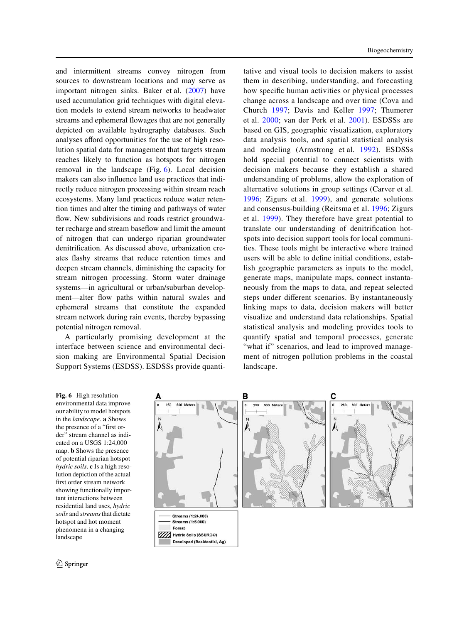and intermittent streams convey nitrogen from sources to downstream locations and may serve as important nitrogen sinks. Baker et al. ([2007\)](#page-20-6) have used accumulation grid techniques with digital elevation models to extend stream networks to headwater streams and ephemeral flowages that are not generally depicted on available hydrography databases. Such analyses afford opportunities for the use of high resolution spatial data for management that targets stream reaches likely to function as hotspots for nitrogen removal in the landscape (Fig. [6\)](#page-19-0). Local decision makers can also influence land use practices that indirectly reduce nitrogen processing within stream reach ecosystems. Many land practices reduce water retention times and alter the timing and pathways of water flow. New subdivisions and roads restrict groundwater recharge and stream baseflow and limit the amount of nitrogen that can undergo riparian groundwater denitrification. As discussed above, urbanization creates flashy streams that reduce retention times and deepen stream channels, diminishing the capacity for stream nitrogen processing. Storm water drainage systems—in agricultural or urban/suburban development—alter flow paths within natural swales and ephemeral streams that constitute the expanded stream network during rain events, thereby bypassing potential nitrogen removal.

A particularly promising development at the interface between science and environmental decision making are Environmental Spatial Decision Support Systems (ESDSS). ESDSSs provide quantitative and visual tools to decision makers to assist them in describing, understanding, and forecasting how specific human activities or physical processes change across a landscape and over time (Cova and Church [1997](#page-22-37); Davis and Keller [1997](#page-22-38); Thumerer et al. [2000;](#page-27-33) van der Perk et al. [2001](#page-27-34)). ESDSSs are based on GIS, geographic visualization, exploratory data analysis tools, and spatial statistical analysis and modeling (Armstrong et al. [1992](#page-20-9)). ESDSSs hold special potential to connect scientists with decision makers because they establish a shared understanding of problems, allow the exploration of alternative solutions in group settings (Carver et al. [1996;](#page-21-34) Zigurs et al. [1999\)](#page-28-7), and generate solutions and consensus-building (Reitsma et al. [1996;](#page-26-33) Zigurs et al. [1999](#page-28-7)). They therefore have great potential to translate our understanding of denitrification hotspots into decision support tools for local communities. These tools might be interactive where trained users will be able to define initial conditions, establish geographic parameters as inputs to the model, generate maps, manipulate maps, connect instantaneously from the maps to data, and repeat selected steps under different scenarios. By instantaneously linking maps to data, decision makers will better visualize and understand data relationships. Spatial statistical analysis and modeling provides tools to quantify spatial and temporal processes, generate "what if" scenarios, and lead to improved management of nitrogen pollution problems in the coastal landscape.

<span id="page-19-0"></span>**Fig. 6** High resolution environmental data improve our ability to model hotspots in the *landscape*. **a** Shows the presence of a "first order" stream channel as indicated on a USGS 1:24,000 map. **b** Shows the presence of potential riparian hotspot *hydric soils*. **c** Is a high resolution depiction of the actual first order stream network showing functionally important interactions between residential land uses, *hydric soils* and *streams* that dictate hotspot and hot moment phenomena in a changing landscape

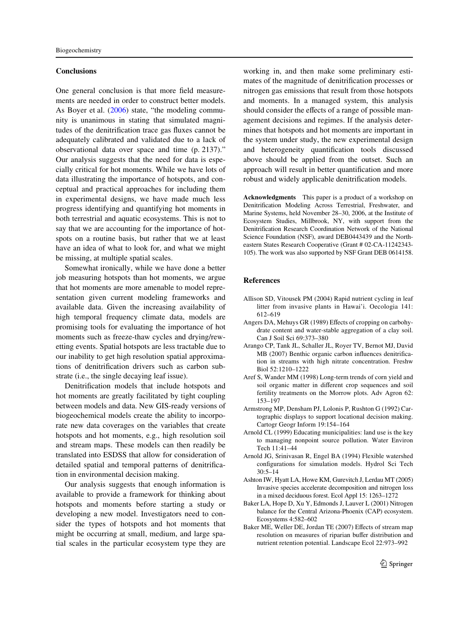#### **Conclusions**

One general conclusion is that more field measurements are needed in order to construct better models. As Boyer et al. ([2006\)](#page-21-2) state, "the modeling community is unanimous in stating that simulated magnitudes of the denitrification trace gas fluxes cannot be adequately calibrated and validated due to a lack of observational data over space and time (p. 2137)." Our analysis suggests that the need for data is especially critical for hot moments. While we have lots of data illustrating the importance of hotspots, and conceptual and practical approaches for including them in experimental designs, we have made much less progress identifying and quantifying hot moments in both terrestrial and aquatic ecosystems. This is not to say that we are accounting for the importance of hotspots on a routine basis, but rather that we at least have an idea of what to look for, and what we might be missing, at multiple spatial scales.

Somewhat ironically, while we have done a better job measuring hotspots than hot moments, we argue that hot moments are more amenable to model representation given current modeling frameworks and available data. Given the increasing availability of high temporal frequency climate data, models are promising tools for evaluating the importance of hot moments such as freeze-thaw cycles and drying/rewetting events. Spatial hotspots are less tractable due to our inability to get high resolution spatial approximations of denitrification drivers such as carbon substrate (i.e., the single decaying leaf issue).

Denitrification models that include hotspots and hot moments are greatly facilitated by tight coupling between models and data. New GIS-ready versions of biogeochemical models create the ability to incorporate new data coverages on the variables that create hotspots and hot moments, e.g., high resolution soil and stream maps. These models can then readily be translated into ESDSS that allow for consideration of detailed spatial and temporal patterns of denitrification in environmental decision making.

Our analysis suggests that enough information is available to provide a framework for thinking about hotspots and moments before starting a study or developing a new model. Investigators need to consider the types of hotspots and hot moments that might be occurring at small, medium, and large spatial scales in the particular ecosystem type they are working in, and then make some preliminary estimates of the magnitude of denitrification processes or nitrogen gas emissions that result from those hotspots and moments. In a managed system, this analysis should consider the effects of a range of possible management decisions and regimes. If the analysis determines that hotspots and hot moments are important in the system under study, the new experimental design and heterogeneity quantification tools discussed above should be applied from the outset. Such an approach will result in better quantification and more robust and widely applicable denitrification models.

**Acknowledgments** This paper is a product of a workshop on Denitrification Modeling Across Terrestrial, Freshwater, and Marine Systems, held November 28–30, 2006, at the Institute of Ecosystem Studies, Millbrook, NY, with support from the Denitrification Research Coordination Network of the National Science Foundation (NSF), award DEB0443439 and the Northeastern States Research Cooperative (Grant # 02-CA-11242343- 105). The work was also supported by NSF Grant DEB 0614158.

#### **References**

- <span id="page-20-3"></span>Allison SD, Vitousek PM (2004) Rapid nutrient cycling in leaf litter from invasive plants in Hawai'i. Oecologia 141: 612–619
- <span id="page-20-1"></span>Angers DA, Mehuys GR (1989) Effects of cropping on carbohydrate content and water-stable aggregation of a clay soil. Can J Soil Sci 69:373–380
- <span id="page-20-7"></span>Arango CP, Tank JL, Schaller JL, Royer TV, Bernot MJ, David MB (2007) Benthic organic carbon influences denitrification in streams with high nitrate concentration. Freshw Biol 52:1210–1222
- <span id="page-20-0"></span>Aref S, Wander MM (1998) Long-term trends of corn yield and soil organic matter in different crop sequences and soil fertility treatments on the Morrow plots. Adv Agron 62: 153–197
- <span id="page-20-9"></span>Armstrong MP, Densham PJ, Lolonis P, Rushton G (1992) Cartographic displays to support locational decision making. Cartogr Geogr Inform 19:154–164
- <span id="page-20-8"></span>Arnold CL (1999) Educating municipalities: land use is the key to managing nonpoint source pollution. Water Environ Tech 11:41–44
- <span id="page-20-5"></span>Arnold JG, Srinivasan R, Engel BA (1994) Flexible watershed configurations for simulation models. Hydrol Sci Tech 30:5–14
- <span id="page-20-4"></span>Ashton IW, Hyatt LA, Howe KM, Gurevitch J, Lerdau MT (2005) Invasive species accelerate decomposition and nitrogen loss in a mixed deciduous forest. Ecol Appl 15: 1263–1272
- <span id="page-20-2"></span>Baker LA, Hope D, Xu Y, Edmonds J, Lauver L (2001) Nitrogen balance for the Central Arizona-Phoenix (CAP) ecosystem. Ecosystems 4:582–602
- <span id="page-20-6"></span>Baker ME, Weller DE, Jordan TE (2007) Effects of stream map resolution on measures of riparian buffer distribution and nutrient retention potential. Landscape Ecol 22:973–992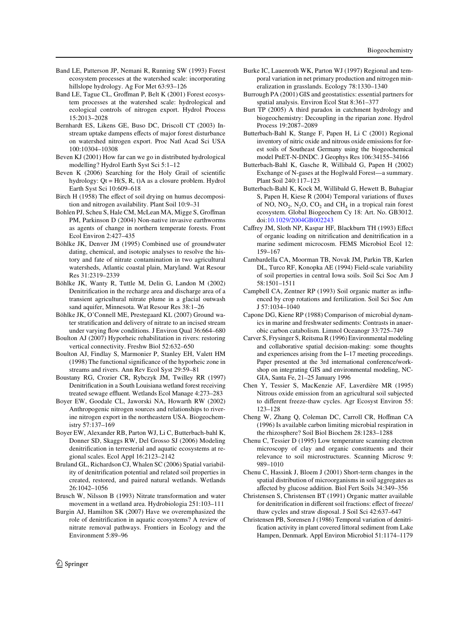- <span id="page-21-0"></span>Band LE, Patterson JP, Nemani R, Running SW (1993) Forest ecosystem processes at the watershed scale: incorporating hillslope hydrology. Ag For Met 63:93–126
- <span id="page-21-20"></span>Band LE, Tague CL, Groffman P, Belt K (2001) Forest ecosystem processes at the watershed scale: hydrological and ecological controls of nitrogen export. Hydrol Process 15:2013–2028
- <span id="page-21-30"></span>Bernhardt ES, Likens GE, Buso DC, Driscoll CT (2003) Instream uptake dampens effects of major forest disturbance on watershed nitrogen export. Proc Natl Acad Sci USA 100:10304–10308
- <span id="page-21-27"></span>Beven KJ (2001) How far can we go in distributed hydrological modelling? Hydrol Earth Syst Sci 5:1–12
- <span id="page-21-28"></span>Beven K  $(2006)$  Searching for the Holy Grail of scientific hydrology: Qt = H(S, R, t)A as a closure problem. Hydrol Earth Syst Sci 10:609–618
- <span id="page-21-1"></span>Birch H (1958) The effect of soil drying on humus decomposition and nitrogen availability. Plant Soil 10:9–31
- <span id="page-21-17"></span>Bohlen PJ, Scheu S, Hale CM, McLean MA, Migge S, Groffman PM, Parkinson D (2004) Non-native invasive earthworms as agents of change in northern temperate forests. Front Ecol Environ 2:427–435
- <span id="page-21-26"></span>Böhlke JK, Denver JM (1995) Combined use of groundwater dating, chemical, and isotopic analyses to resolve the history and fate of nitrate contamination in two agricultural watersheds, Atlantic coastal plain, Maryland. Wat Resour Res 31:2319–2339
- <span id="page-21-23"></span>Böhlke JK, Wanty R, Tuttle M, Delin G, Landon M (2002) Denitrification in the recharge area and discharge area of a transient agricultural nitrate plume in a glacial outwash sand aquifer, Minnesota. Wat Resour Res 38:1–26
- <span id="page-21-14"></span>Böhlke JK, O'Connell ME, Prestegaard KL (2007) Ground water stratification and delivery of nitrate to an incised stream under varying flow conditions. J Environ Qual 36:664–680
- <span id="page-21-22"></span>Boulton AJ (2007) Hyporheic rehabilitation in rivers: restoring vertical connectivity. Freshw Biol 52:632–650
- <span id="page-21-21"></span>Boulton AJ, Findlay S, Marmonier P, Stanley EH, Valett HM (1998) The functional significance of the hyporheic zone in streams and rivers. Ann Rev Ecol Syst 29:59–81
- <span id="page-21-16"></span>Boustany RG, Crozier CR, Rybczyk JM, Twilley RR (1997) Denitrification in a South Louisiana wetland forest receiving treated sewage effluent. Wetlands Ecol Manage 4:273-283
- <span id="page-21-3"></span>Boyer EW, Goodale CL, Jaworski NA, Howarth RW (2002) Anthropogenic nitrogen sources and relationships to riverine nitrogen export in the northeastern USA. Biogeochemistry 57:137–169
- <span id="page-21-2"></span>Boyer EW, Alexander RB, Parton WJ, Li C, Butterbach-bahl K, Donner SD, Skaggs RW, Del Grosso SJ (2006) Modeling denitrification in terresterial and aquatic ecosystems at regional scales. Ecol Appl 16:2123–2142
- <span id="page-21-13"></span>Bruland GL, Richardson CJ, Whalen SC (2006) Spatial variability of denitrification potential and related soil properties in created, restored, and paired natural wetlands. Wetlands 26:1042–1056
- <span id="page-21-25"></span>Brusch W, Nilsson B (1993) Nitrate transformation and water movement in a wetland area. Hydrobiologia 251:103–111
- <span id="page-21-32"></span>Burgin AJ, Hamilton SK (2007) Have we overemphasized the role of denitrification in aquatic ecosystems? A review of nitrate removal pathways. Frontiers in Ecology and the Environment 5:89–96
- <span id="page-21-19"></span>Burke IC, Lauenroth WK, Parton WJ (1997) Regional and temporal variation in net primary production and nitrogen mineralization in grasslands. Ecology 78:1330–1340
- <span id="page-21-18"></span>Burrough PA (2001) GIS and geostatistics: essential partners for spatial analysis. Environ Ecol Stat 8:361–377
- <span id="page-21-24"></span>Burt TP (2005) A third paradox in catchment hydrology and biogeochemistry: Decoupling in the riparian zone. Hydrol Process 19:2087–2089
- <span id="page-21-7"></span>Butterbach-Bahl K, Stange F, Papen H, Li C (2001) Regional inventory of nitric oxide and nitrous oxide emissions for forest soils of Southeast Germany using the biogeochemical model PnET-N-DNDC. J Geophys Res 106:34155–34166
- <span id="page-21-6"></span>Butterbach-Bahl K, Gasche R, Willibald G, Papen H (2002) Exchange of N-gases at the Hoglwald Forest—a summary. Plant Soil 240:117–123
- <span id="page-21-8"></span>Butterbach-Bahl K, Kock M, Willibald G, Hewett B, Buhagiar S, Papen H, Kiese R (2004) Temporal variations of fluxes of NO, NO<sub>2</sub>, N<sub>2</sub>O, CO<sub>2</sub> and CH<sub>4</sub> in a tropical rain forest ecosystem. Global Biogeochem Cy 18: Art. No. GB3012. doi[:10.1029/2004GB002243](http://dx.doi.org/10.1029/2004GB002243)
- <span id="page-21-29"></span>Caffrey JM, Sloth NP, Kaspar HF, Blackburn TH (1993) Effect of organic loading on nitrification and denitrification in a marine sediment microcosm. FEMS Microbiol Ecol 12: 159–167
- <span id="page-21-12"></span>Cambardella CA, Moorman TB, Novak JM, Parkin TB, Karlen DL, Turco RF, Konopka AE (1994) Field-scale variability of soil properties in central Iowa soils. Soil Sci Soc Am J 58:1501–1511
- <span id="page-21-9"></span>Campbell CA, Zentner RP (1993) Soil organic matter as influenced by crop rotations and fertilization. Soil Sci Soc Am J 57:1034–1040
- <span id="page-21-31"></span>Capone DG, Kiene RP (1988) Comparison of microbial dynamics in marine and freshwater sediments: Contrasts in anaerobic carbon catabolism. Limnol Oceanogr 33:725–749
- <span id="page-21-34"></span>Carver S, Frysinger S, Reitsma R (1996) Environmental modeling and collaborative spatial decision-making: some thoughts and experiences arising from the I–17 meeting proceedings. Paper presented at the 3rd international conference/workshop on integrating GIS and environmental modeling, NC-GIA, Santa Fe, 21–25 January 1996
- <span id="page-21-4"></span>Chen Y, Tessier S, MacKenzie AF, Laverdière MR (1995) Nitrous oxide emission from an agricultural soil subjected to different freeze-thaw cycles. Agr Ecosyst Environ 55: 123–128
- <span id="page-21-15"></span>Cheng W, Zhang Q, Coleman DC, Carroll CR, Hoffman CA (1996) Is available carbon limiting microbial respiration in the rhizosphere? Soil Biol Biochem 28:1283–1288
- <span id="page-21-11"></span>Chenu C, Tessier D (1995) Low temperature scanning electron microscopy of clay and organic constituents and their relevance to soil microstructures. Scanning Microsc 9: 989–1010
- <span id="page-21-10"></span>Chenu C, Hassink J, Bloem J (2001) Short-term changes in the spatial distribution of microorganisms in soil aggregates as affected by glucose addition. Biol Fert Soils 34:349-356
- <span id="page-21-5"></span>Christensen S, Christensen BT (1991) Organic matter available for denitrification in different soil fractions: effect of freeze/ thaw cycles and straw disposal. J Soil Sci 42:637–647
- <span id="page-21-33"></span>Christensen PB, Sorensen J (1986) Temporal variation of denitrification activity in plant covered littoral sediment from Lake Hampen, Denmark. Appl Environ Microbiol 51:1174–1179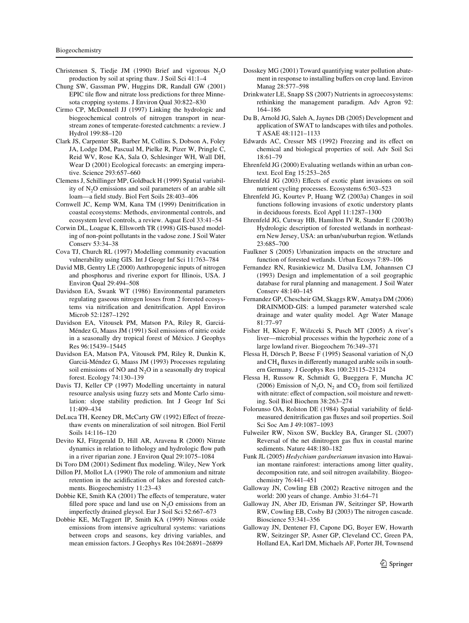- <span id="page-22-2"></span>Christensen S, Tiedje JM (1990) Brief and vigorous  $N_2O$ production by soil at spring thaw. J Soil Sci 41:1–4
- <span id="page-22-20"></span>Chung SW, Gassman PW, Huggins DR, Randall GW (2001) EPIC tile flow and nitrate loss predictions for three Minnesota cropping systems. J Environ Qual 30:822–830
- <span id="page-22-28"></span>Cirmo CP, McDonnell JJ (1997) Linking the hydrologic and biogeochemical controls of nitrogen transport in nearstream zones of temperate-forested catchments: a review. J Hydrol 199:88–120
- <span id="page-22-22"></span>Clark JS, Carpenter SR, Barber M, Collins S, Dobson A, Foley JA, Lodge DM, Pascual M, Pielke R, Pizer W, Pringle C, Reid WV, Rose KA, Sala O, Schlesinger WH, Wall DH, Wear D (2001) Ecological forecasts: an emerging imperative. Science 293:657–660
- <span id="page-22-19"></span>Clemens J, Schillinger MP, Goldback H (1999) Spatial variability of  $N<sub>2</sub>O$  emissions and soil parameters of an arable silt loam—a field study. Biol Fert Soils 28:403-406
- <span id="page-22-32"></span>Cornwell JC, Kemp WM, Kana TM (1999) Denitrification in coastal ecosystems: Methods, environmental controls, and ecosystem level controls, a review. Aquat Ecol 33:41–54
- <span id="page-22-35"></span>Corwin DL, Loague K, Ellsworth TR (1998) GIS-based modeling of non-point pollutants in the vadose zone. J Soil Water Conserv 53:34–38
- <span id="page-22-37"></span>Cova TJ, Church RL (1997) Modelling community evacuation vulnerability using GIS. Int J Geogr Inf Sci 11:763–784
- <span id="page-22-11"></span>David MB, Gentry LE (2000) Anthropogenic inputs of nitrogen and phosphorus and riverine export for Illinois, USA. J Environ Qual 29:494–508
- <span id="page-22-23"></span>Davidson EA, Swank WT (1986) Environmental parameters regulating gaseous nitrogen losses from 2 forested ecosystems via nitrification and denitrification. Appl Environ Microb 52:1287–1292
- <span id="page-22-7"></span>Davidson EA, Vitousek PM, Matson PA, Riley R, Garciá-Méndez G, Maass JM (1991) Soil emissions of nitric oxide in a seasonally dry tropical forest of México. J Geophys Res 96:15439–15445
- <span id="page-22-8"></span>Davidson EA, Matson PA, Vitousek PM, Riley R, Dunkin K, Garciá-Méndez G, Maass JM (1993) Processes regulating soil emissions of NO and  $N_2O$  in a seasonally dry tropical forest. Ecology 74:130–139
- <span id="page-22-38"></span>Davis TJ, Keller CP (1997) Modelling uncertainty in natural resource analysis using fuzzy sets and Monte Carlo simulation: slope stability prediction. Int J Geogr Inf Sci 11:409–434
- <span id="page-22-5"></span>DeLuca TH, Keeney DR, McCarty GW (1992) Effect of freezethaw events on mineralization of soil nitrogen. Biol Fertil Soils 14:116–120
- <span id="page-22-27"></span>Devito KJ, Fitzgerald D, Hill AR, Aravena R (2000) Nitrate dynamics in relation to lithology and hydrologic flow path in a river riparian zone. J Environ Qual 29:1075–1084

<span id="page-22-4"></span>Di Toro DM (2001) Sediment flux modeling. Wiley, New York

- <span id="page-22-34"></span>Dillon PJ, Mollot LA (1990) The role of ammonium and nitrate retention in the acidification of lakes and forested catchments. Biogeochemistry 11:23–43
- <span id="page-22-14"></span>Dobbie KE, Smith KA (2001) The effects of temperature, water filled pore space and land use on  $N_2O$  emissions from an imperfectly drained gleysol. Eur J Soil Sci 52:667–673
- <span id="page-22-10"></span>Dobbie KE, McTaggert IP, Smith KA (1999) Nitrous oxide emissions from intensive agricultural systems: variations between crops and seasons, key driving variables, and mean emission factors. J Geophys Res 104:26891–26899
- <span id="page-22-26"></span>Dosskey MG (2001) Toward quantifying water pollution abatement in response to installing buffers on crop land. Environ Manag 28:577–598
- <span id="page-22-12"></span>Drinkwater LE, Snapp SS (2007) Nutrients in agroecosystems: rethinking the management paradigm. Adv Agron 92: 164–186
- <span id="page-22-21"></span>Du B, Arnold JG, Saleh A, Jaynes DB (2005) Development and application of SWAT to landscapes with tiles and potholes. T ASAE 48:1121–1133
- <span id="page-22-3"></span>Edwards AC, Cresser MS (1992) Freezing and its effect on chemical and biological properties of soil. Adv Soil Sci 18:61–79
- <span id="page-22-30"></span>Ehrenfeld JG (2000) Evaluating wetlands within an urban context. Ecol Eng 15:253–265
- <span id="page-22-16"></span>Ehrenfeld JG (2003) Effects of exotic plant invasions on soil nutrient cycling processes. Ecosystems 6:503–523
- <span id="page-22-18"></span>Ehrenfeld JG, Kourtev P, Huang WZ (2003a) Changes in soil functions following invasions of exotic understory plants in deciduous forests. Ecol Appl 11:1287–1300
- <span id="page-22-29"></span>Ehrenfeld JG, Cutway HB, Hamilton IV R, Stander E (2003b) Hydrologic description of forested wetlands in northeastern New Jersey, USA: an urban/suburban region. Wetlands 23:685–700
- <span id="page-22-15"></span>Faulkner S (2005) Urbanization impacts on the structure and function of forested wetlands. Urban Ecosys 7:89–106
- <span id="page-22-36"></span>Fernandez RN, Rusinkiewicz M, Dasilva LM, Johannsen CJ (1993) Design and implementation of a soil geographic database for rural planning and management. J Soil Water Conserv 48:140–145
- <span id="page-22-24"></span>Fernandez GP, Chescheir GM, Skaggs RW, Amatya DM (2006) DRAINMOD-GIS: a lumped parameter watershed scale drainage and water quality model. Agr Water Manage 81:77–97
- <span id="page-22-25"></span>Fisher H, Kloep F, Wilzceki S, Pusch MT (2005) A river's liver—microbial processes within the hyporheic zone of a large lowland river. Biogeochem 76:349–371
- <span id="page-22-6"></span>Flessa H, Dörsch P, Beese F (1995) Seasonal variation of N<sub>2</sub>O and  $CH<sub>4</sub>$  fluxes in differently managed arable soils in southern Germany. J Geophys Res 100:23115–23124
- <span id="page-22-13"></span>Flessa H, Russow R, Schmidt G, Bueggera F, Muncha JC (2006) Emission of  $N_2O$ ,  $N_2$  and  $CO_2$  from soil fertilized with nitrate: effect of compaction, soil moisture and rewetting. Soil Biol Biochem 38:263–274
- <span id="page-22-1"></span>Folorunso OA, Rolston DE (1984) Spatial variability of fieldmeasured denitrification gas fluxes and soil properties. Soil Sci Soc Am J 49:1087–1093
- <span id="page-22-33"></span>Fulweiler RW, Nixon SW, Buckley BA, Granger SL (2007) Reversal of the net dinitrogen gas flux in coastal marine sediments. Nature 448:180–182
- <span id="page-22-17"></span>Funk JL (2005) *Hedychium gardnerianum* invasion into Hawaiian montane rainforest: interactions among litter quality, decomposition rate, and soil nitrogen availability. Biogeochemistry 76:441–451
- <span id="page-22-9"></span>Galloway JN, Cowling EB (2002) Reactive nitrogen and the world: 200 years of change. Ambio 31:64–71
- <span id="page-22-0"></span>Galloway JN, Aber JD, Erisman JW, Seitzinger SP, Howarth RW, Cowling EB, Cosby BJ (2003) The nitrogen cascade. Bioscience 53:341–356
- <span id="page-22-31"></span>Galloway JN, Dentener FJ, Capone DG, Boyer EW, Howarth RW, Seitzinger SP, Asner GP, Cleveland CC, Green PA, Holland EA, Karl DM, Michaels AF, Porter JH, Townsend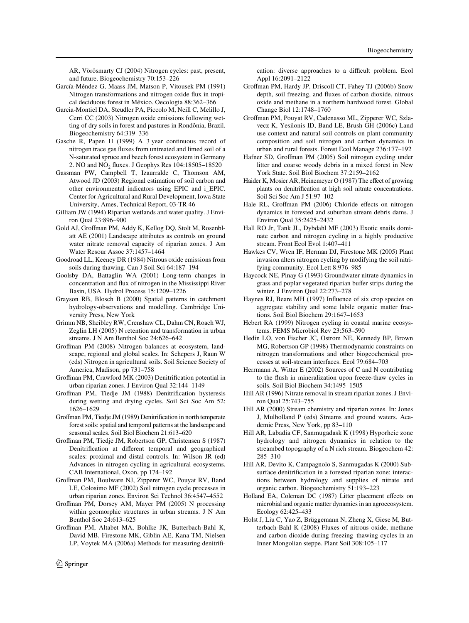AR, Vörösmarty CJ (2004) Nitrogen cycles: past, present, and future. Biogeochemistry 70:153–226

- <span id="page-23-10"></span>García-Méndez G, Maass JM, Matson P, Vitousek PM (1991) Nitrogen transformations and nitrogen oxide flux in tropical deciduous forest in México. Oecologia 88:362–366
- <span id="page-23-9"></span>Garcia-Montiel DA, Steudler PA, Piccolo M, Neill C, Melillo J, Cerri CC (2003) Nitrogen oxide emissions following wetting of dry soils in forest and pastures in Rondônia, Brazil. Biogeochemistry 64:319–336
- <span id="page-23-7"></span>Gasche R, Papen H (1999) A 3 year continuous record of nitrogen trace gas fluxes from untreated and limed soil of a N-saturated spruce and beech forest ecosystem in Germany 2. NO and  $NO<sub>2</sub>$  fluxes. J Geophys Res  $104:18505-18520$
- <span id="page-23-20"></span>Gassman PW, Campbell T, Izaurralde C, Thomson AM, Atwood JD (2003) Regional estimation of soil carbon and other environmental indicators using EPIC and i\_EPIC. Center for Agricultural and Rural Development, Iowa State University, Ames, Technical Report, 03-TR 46
- <span id="page-23-28"></span>Gilliam JW (1994) Riparian wetlands and water quality. J Environ Qual 23:896–900
- <span id="page-23-22"></span>Gold AJ, Groffman PM, Addy K, Kellog DQ, Stolt M, Rosenblatt AE (2001) Landscape attributes as controls on ground water nitrate removal capacity of riparian zones. J Am Water Resour Assoc 37:1457–1464
- <span id="page-23-2"></span>Goodroad LL, Keeney DR (1984) Nitrous oxide emissions from soils during thawing. Can J Soil Sci 64:187–194
- <span id="page-23-12"></span>Goolsby DA, Battaglin WA (2001) Long-term changes in concentration and flux of nitrogen in the Mississippi River Basin, USA. Hydrol Process 15:1209–1226
- <span id="page-23-31"></span>Grayson RB, Blosch B (2000) Spatial patterns in catchment hydrology-observations and modelling. Cambridge University Press, New York
- <span id="page-23-33"></span>Grimm NB, Sheibley RW, Crenshaw CL, Dahm CN, Roach WJ, Zeglin LH (2005) N retention and transformation in urban streams. J N Am Benthol Soc 24:626–642
- <span id="page-23-4"></span>Groffman PM (2008) Nitrogen balances at ecosystem, landscape, regional and global scales. In: Schepers J, Raun W (eds) Nitrogen in agricultural soils. Soil Science Society of America, Madison, pp 731–758
- <span id="page-23-16"></span>Groffman PM, Crawford MK (2003) Denitrification potential in urban riparian zones. J Environ Qual 32:144–1149
- <span id="page-23-3"></span>Groffman PM, Tiedje JM (1988) Denitrification hysteresis during wetting and drying cycles. Soil Sci Soc Am 52: 1626–1629
- <span id="page-23-13"></span>Groffman PM, Tiedje JM (1989) Denitrification in north temperate forest soils: spatial and temporal patterns at the landscape and seasonal scales. Soil Biol Biochem 21:613–620
- <span id="page-23-21"></span>Groffman PM, Tiedje JM, Robertson GP, Christensen S (1987) Denitrification at different temporal and geographical scales: proximal and distal controls. In: Wilson JR (ed) Advances in nitrogen cycling in agricultural ecosystems. CAB International, Oxon, pp 174–192
- <span id="page-23-30"></span>Groffman PM, Boulware NJ, Zipperer WC, Pouyat RV, Band LE, Colosimo MF (2002) Soil nitrogen cycle processes in urban riparian zones. Environ Sci Technol 36:4547–4552
- <span id="page-23-34"></span>Groffman PM, Dorsey AM, Mayer PM (2005) N processing within geomorphic structures in urban streams. J N Am Benthol Soc 24:613–625
- <span id="page-23-0"></span>Groffman PM, Altabet MA, Bohlke JK, Butterbach-Bahl K, David MB, Firestone MK, Giblin AE, Kana TM, Nielsen LP, Voytek MA (2006a) Methods for measuring denitrifi-

 $\mathcal{Q}$  Springer

cation: diverse approaches to a difficult problem. Ecol Appl 16:2091–2122

- <span id="page-23-5"></span>Groffman PM, Hardy JP, Driscoll CT, Fahey TJ (2006b) Snow depth, soil freezing, and fluxes of carbon dioxide, nitrous oxide and methane in a northern hardwood forest. Global Change Biol 12:1748–1760
- <span id="page-23-19"></span>Groffman PM, Pouyat RV, Cadenasso ML, Zipperer WC, Szlavecz K, Yesilonis ID, Band LE, Brush GH (2006c) Land use context and natural soil controls on plant community composition and soil nitrogen and carbon dynamics in urban and rural forests. Forest Ecol Manage 236:177–192
- <span id="page-23-14"></span>Hafner SD, Groffman PM (2005) Soil nitrogen cycling under litter and coarse woody debris in a mixed forest in New York State. Soil Biol Biochem 37:2159–2162
- <span id="page-23-1"></span>Haider K, Mosier AR, Heinemeyer  $O(1987)$  The effect of growing plants on denitrification at high soil nitrate concentrations. Soil Sci Soc Am J 51:97–102
- <span id="page-23-35"></span>Hale RL, Groffman PM (2006) Chloride effects on nitrogen dynamics in forested and suburban stream debris dams. J Environ Qual 35:2425–2432
- <span id="page-23-18"></span>Hall RO Jr, Tank JL, Dybdahl MF (2003) Exotic snails dominate carbon and nitrogen cycling in a highly productive stream. Front Ecol Evol 1:407–411
- <span id="page-23-17"></span>Hawkes CV, Wren IF, Herman DJ, Firestone MK (2005) Plant invasion alters nitrogen cycling by modifying the soil nitrifying community. Ecol Lett 8:976–985
- <span id="page-23-26"></span>Haycock NE, Pinay G (1993) Groundwater nitrate dynamics in grass and poplar vegetated riparian buffer strips during the winter. J Environ Qual 22:273–278
- <span id="page-23-15"></span>Haynes RJ, Beare MH (1997) Influence of six crop species on aggregate stability and some labile organic matter fractions. Soil Biol Biochem 29:1647–1653
- <span id="page-23-32"></span>Hebert RA (1999) Nitrogen cycling in coastal marine ecosystems. FEMS Microbiol Rev 23:563–590
- <span id="page-23-23"></span>Hedin LO, von Fischer JC, Ostrom NE, Kennedy BP, Brown MG, Robertson GP (1998) Thermodynamic constraints on nitrogen transformations and other biogeochemical processes at soil-stream interfaces. Ecol 79:684–703
- <span id="page-23-6"></span>Herrmann A, Witter E (2002) Sources of C and N contributing to the flush in mineralization upon freeze-thaw cycles in soils. Soil Biol Biochem 34:1495–1505
- <span id="page-23-25"></span>Hill AR (1996) Nitrate removal in stream riparian zones. J Environ Qual 25:743–755
- <span id="page-23-29"></span>Hill AR (2000) Stream chemistry and riparian zones. In: Jones J, Mulholland P (eds) Streams and ground waters. Academic Press, New York, pp 83–110
- <span id="page-23-24"></span>Hill AR, Labadia CF, Sanmugadask K (1998) Hyporheic zone hydrology and nitrogen dynamics in relation to the streambed topography of a N rich stream. Biogeochem 42: 285–310
- <span id="page-23-27"></span>Hill AR, Devito K, Campagnolo S, Sanmugadas K (2000) Subsurface denitrification in a forested riparian zone: interactions between hydrology and supplies of nitrate and organic carbon. Biogeochemistry 51:193–223
- <span id="page-23-11"></span>Holland EA, Coleman DC (1987) Litter placement effects on microbial and organic matter dynamics in an agroecosystem. Ecology 62:425–433
- <span id="page-23-8"></span>Holst J, Liu C, Yao Z, Brüggemann N, Zheng X, Giese M, Butterbach-Bahl K (2008) Fluxes of nitrous oxide, methane and carbon dioxide during freezing–thawing cycles in an Inner Mongolian steppe. Plant Soil 308:105–117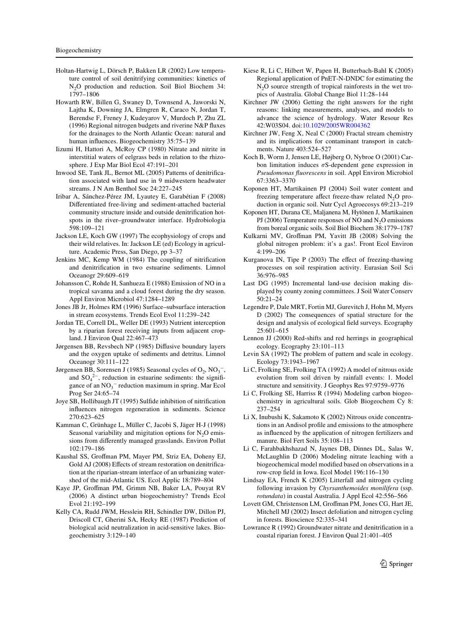- <span id="page-24-7"></span>Holtan-Hartwig L, Dörsch P, Bakken LR (2002) Low temperature control of soil denitrifying communities: kinetics of N2O production and reduction. Soil Biol Biochem 34: 1797–1806
- <span id="page-24-2"></span>Howarth RW, Billen G, Swaney D, Townsend A, Jaworski N, Lajtha K, Downing JA, Elmgren R, Caraco N, Jordan T, Berendse F, Freney J, Kudeyarov V, Murdoch P, Zhu ZL (1996) Regional nitrogen budgets and riverine N&P fluxes for the drainages to the North Atlantic Ocean: natural and human influences. Biogeochemistry 35:75–139
- <span id="page-24-29"></span>Iizumi H, Hattori A, McRoy CP (1980) Nitrate and nitrite in interstitial waters of eelgrass beds in relation to the rhizosphere. J Exp Mar Biol Ecol 47:191–201
- <span id="page-24-32"></span>Inwood SE, Tank JL, Bernot ML (2005) Patterns of denitrification associated with land use in 9 midwestern headwater streams. J N Am Benthol Soc 24:227–245
- <span id="page-24-34"></span>Iribar A, Sánchez-Pérez JM, Lyautey E, Garabétian F (2008) Differentiated free-living and sediment-attached bacterial community structure inside and outside denitrification hotspots in the river–groundwater interface. Hydrobiologia 598:109–121
- <span id="page-24-11"></span>Jackson LE, Koch GW (1997) The ecophysiology of crops and their wild relatives. In: Jackson LE (ed) Ecology in agriculture. Academic Press, San Diego, pp 3–37
- <span id="page-24-27"></span>Jenkins MC, Kemp WM (1984) The coupling of nitrification and denitrification in two estuarine sediments. Limnol Oceanogr 29:609–619
- <span id="page-24-8"></span>Johansson C, Rohde H, Sanhueza E (1988) Emission of NO in a tropical savanna and a cloud forest during the dry season. Appl Environ Microbiol 47:1284–1289
- <span id="page-24-22"></span>Jones JB Jr, Holmes RM (1996) Surface–subsurface interaction in stream ecosystems. Trends Ecol Evol 11:239–242
- <span id="page-24-25"></span>Jordan TE, Correll DL, Weller DE (1993) Nutrient interception by a riparian forest receiving inputs from adjacent cropland. J Environ Qual 22:467–473
- <span id="page-24-31"></span>Jørgensen BB, Revsbech NP (1985) Diffusive boundary layers and the oxygen uptake of sediments and detritus. Limnol Oceanogr 30:111–122
- <span id="page-24-30"></span>Jørgensen BB, Sorensen J (1985) Seasonal cycles of  $O_2$ ,  $NO_3^-$ , and  $SO_4^2$ , reduction in estuarine sediments: the signifigance of an  $NO_3^-$  reduction maximum in spring. Mar Ecol Prog Ser 24:65–74
- <span id="page-24-28"></span>Joye SB, Hollibaugh JT (1995) Sulfide inhibition of nitrification influences nitrogen regeneration in sediments. Science 270:623–625
- <span id="page-24-3"></span>Kamman C, Grünhage L, Müller C, Jacobi S, Jäger H-J (1998) Seasonal variability and migitation options for  $N_2O$  emissions from differently managed grasslands. Environ Pollut 102:179–186
- <span id="page-24-23"></span>Kaushal SS, Groffman PM, Mayer PM, Striz EA, Doheny EJ, Gold AJ (2008) Effects of stream restoration on denitrification at the riparian-stream interface of an urbanizing watershed of the mid-Atlantic US. Ecol Applic 18:789–804
- <span id="page-24-13"></span>Kaye JP, Groffman PM, Grimm NB, Baker LA, Pouyat RV (2006) A distinct urban biogeochemistry? Trends Ecol Evol 21:192–199
- <span id="page-24-33"></span>Kelly CA, Rudd JWM, Hesslein RH, Schindler DW, Dillon PJ, Driscoll CT, Gherini SA, Hecky RE (1987) Prediction of biological acid neutralization in acid-sensitive lakes. Biogeochemistry 3:129–140
- <span id="page-24-9"></span>Kiese R, Li C, Hilbert W, Papen H, Butterbach-Bahl K (2005) Regional application of PnET-N-DNDC for estimating the  $N<sub>2</sub>O$  source strength of tropical rainforests in the wet tropics of Australia. Global Change Biol 11:28–144
- <span id="page-24-17"></span>Kirchner JW (2006) Getting the right answers for the right reasons: linking measurements, analyses, and models to advance the science of hydrology. Water Resour Res 42:W03S04. doi[:10.1029/2005WR004362](http://dx.doi.org/10.1029/2005WR004362)
- <span id="page-24-26"></span>Kirchner JW, Feng X, Neal C (2000) Fractal stream chemistry and its implications for contaminant transport in catchments. Nature 403:524–527
- <span id="page-24-12"></span>Koch B, Worm J, Jensen LE, Højberg O, Nybroe O (2001) Carbon limitation induces  $\sigma S$ -dependent gene expression in *Pseudomonas fluorescens* in soil. Appl Environ Microbiol 67:3363–3370
- <span id="page-24-4"></span>Koponen HT, Martikainen PJ (2004) Soil water content and freezing temperature affect freeze-thaw related  $N_2O$  production in organic soil. Nutr Cycl Agroecosys 69:213–219
- <span id="page-24-6"></span>Koponen HT, Durana CE, Maljanena M, Hytönen J, Martikainen PJ (2006) Temperature responses of NO and  $N<sub>2</sub>O$  emissions from boreal organic soils. Soil Biol Biochem 38:1779–1787
- <span id="page-24-0"></span>Kulkarni MV, Groffman PM, Yavitt JB (2008) Solving the global nitrogen problem: it's a gas!. Front Ecol Environ 4:199–206
- <span id="page-24-5"></span>Kurganova IN, Tipe P  $(2003)$  The effect of freezing-thawing processes on soil respiration activity. Eurasian Soil Sci 36:976–985
- <span id="page-24-35"></span>Last DG (1995) Incremental land-use decision making displayed by county zoning committees. J Soil Water Conserv 50:21–24
- <span id="page-24-20"></span>Legendre P, Dale MRT, Fortin MJ, Gurevitch J, Hohn M, Myers D (2002) The consequences of spatial structure for the design and analysis of ecological field surveys. Ecography 25:601–615
- <span id="page-24-19"></span>Lennon JJ (2000) Red-shifts and red herrings in geographical ecology. Ecography 23:101–113
- <span id="page-24-21"></span>Levin SA (1992) The problem of pattern and scale in ecology. Ecology 73:1943–1967
- <span id="page-24-1"></span>Li C, Frolking SE, Frolking TA (1992) A model of nitrous oxide evolution from soil driven by rainfall events: 1. Model structure and sensitivity. J Geophys Res 97:9759–9776
- <span id="page-24-16"></span>Li C, Frolking SE, Harriss R (1994) Modeling carbon biogeochemistry in agricultural soils. Glob Biogeochem Cy 8: 237–254
- <span id="page-24-10"></span>Li X, Inubushi K, Sakamoto K (2002) Nitrous oxide concentrations in an Andisol profile and emissions to the atmosphere as influenced by the application of nitrogen fertilizers and manure. Biol Fert Soils 35:108–113
- <span id="page-24-18"></span>Li C, Farahbakhshazad N, Jaynes DB, Dinnes DL, Salas W, McLaughlin D (2006) Modeling nitrate leaching with a biogeochemical model modified based on observations in a row-crop field in Iowa. Ecol Model 196:116-130
- <span id="page-24-14"></span>Lindsay EA, French K (2005) Litterfall and nitrogen cycling following invasion by *Chyrsanthemoides monilifera* (ssp*. rotundata*) in coastal Australia. J Appl Ecol 42:556–566
- <span id="page-24-15"></span>Lovett GM, Christenson LM, Groffman PM, Jones CG, Hart JE, Mitchell MJ (2002) Insect defoliation and nitrogen cycling in forests. Bioscience 52:335–341
- <span id="page-24-24"></span>Lowrance R  $(1992)$  Groundwater nitrate and denitrification in a coastal riparian forest. J Environ Qual 21:401–405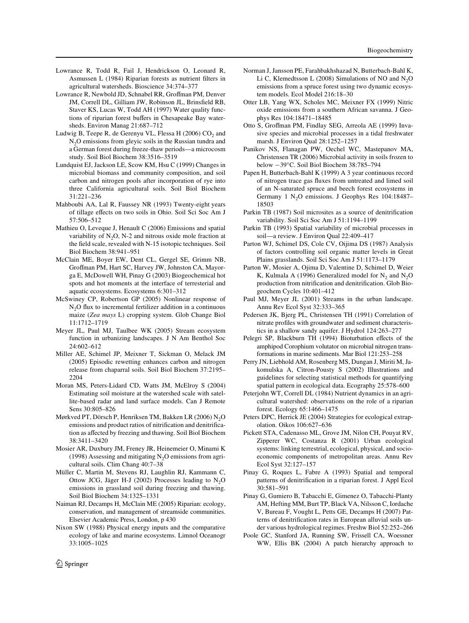- <span id="page-25-29"></span>Lowrance R, Todd R, Fail J, Hendrickson O, Leonard R, Asmussen L (1984) Riparian forests as nutrient filters in agricultural watersheds. Bioscience 34:374–377
- <span id="page-25-28"></span>Lowrance R, Newbold JD, Schnabel RR, Groffman PM, Denver JM, Correll DL, Gilliam JW, Robinson JL, Brinsfield RB, Staver KS, Lucas W, Todd AH (1997) Water quality functions of riparian forest buffers in Chesapeake Bay watersheds. Environ Manag 21:687–712
- <span id="page-25-6"></span>Ludwig B, Teepe R, de Gerenyu VL, Flessa H  $(2006)$  CO<sub>2</sub> and  $N<sub>2</sub>O$  emissions from gleyic soils in the Russian tundra and a German forest during freeze-thaw periods—a microcosm study. Soil Biol Biochem 38:3516–3519
- <span id="page-25-12"></span>Lundquist EJ, Jackson LE, Scow KM, Hsu C (1999) Changes in microbial biomass and community composition, and soil carbon and nitrogen pools after incorporation of rye into three California agricultural soils. Soil Biol Biochem 31:221–236
- <span id="page-25-11"></span>Mahboubi AA, Lal R, Faussey NR (1993) Twenty-eight years of tillage effects on two soils in Ohio. Soil Sci Soc Am J 57:506–512
- <span id="page-25-21"></span>Mathieu O, Leveque J, Henault C (2006) Emissions and spatial variability of  $N_2O$ ,  $N-2$  and nitrous oxide mole fraction at the field scale, revealed with N-15 isotopic techniques. Soil Biol Biochem 38:941–951
- <span id="page-25-0"></span>McClain ME, Boyer EW, Dent CL, Gergel SE, Grimm NB, Groffman PM, Hart SC, Harvey JW, Johnston CA, Mayorga E, McDowell WH, Pinay G (2003) Biogeochemical hot spots and hot moments at the interface of terresterial and aquatic ecosystems. Ecosystems 6:301–312
- <span id="page-25-13"></span>McSwiney CP, Robertson GP (2005) Nonlinear response of  $N<sub>2</sub>O$  flux to incremental fertilizer addition in a continuous maize (*Zea mays* L) cropping system. Glob Change Biol 11:1712–1719
- <span id="page-25-17"></span>Meyer JL, Paul MJ, Taulbee WK (2005) Stream ecosystem function in urbanizing landscapes. J N Am Benthol Soc 24:602–612
- <span id="page-25-10"></span>Miller AE, Schimel JP, Meixner T, Sickman O, Melack JM (2005) Episodic rewetting enhances carbon and nitrogen release from chaparral soils. Soil Biol Biochem 37:2195– 2204
- <span id="page-25-32"></span>Moran MS, Peters-Lidard CD, Watts JM, McElroy S (2004) Estimating soil moisture at the watershed scale with satellite-based radar and land surface models. Can J Remote Sens 30:805–826
- <span id="page-25-5"></span>Mørkved PT, Dörsch P, Henriksen TM, Bakken LR (2006) N<sub>2</sub>O emissions and product ratios of nitrification and denitrification as affected by freezing and thawing. Soil Biol Biochem 38:3411–3420
- <span id="page-25-14"></span>Mosier AR, Duxbury JM, Freney JR, Heinemeier O, Minami K (1998) Assessing and mitigating  $N<sub>2</sub>O$  emissions from agricultural soils. Clim Chang 40:7–38
- <span id="page-25-7"></span>Müller C, Martin M, Stevens RJ, Laughlin RJ, Kammann C, Ottow JCG, Jäger H-J (2002) Processes leading to  $N_2O$ emissions in grassland soil during freezing and thawing. Soil Biol Biochem 34:1325–1331
- <span id="page-25-27"></span>Naiman RJ, Decamps H, McClain ME (2005) Riparian: ecology, conservation, and management of streamside communities. Elsevier Academic Press, London, p 430
- <span id="page-25-33"></span>Nixon SW (1988) Physical energy inputs and the comparative ecology of lake and marine ecosystems. Limnol Oceanogr 33:1005–1025
- <span id="page-25-8"></span>Norman J, Jansson PE, Farahbakhshazad N, Butterbach-Bahl K, Li C, Klemedtsson L (2008) Simulations of NO and  $N_2O$ emissions from a spruce forest using two dynamic ecosystem models. Ecol Model 216:18–30
- <span id="page-25-9"></span>Otter LB, Yang WX, Scholes MC, Meixner FX (1999) Nitric oxide emissions from a southern African savanna. J Geophys Res 104:18471–18485
- <span id="page-25-19"></span>Otto S, Groffman PM, Findlay SEG, Arreola AE (1999) Invasive species and microbial processes in a tidal freshwater marsh. J Environ Qual 28:1252–1257
- <span id="page-25-4"></span>Panikov NS, Flanagan PW, Oechel WC, Mastepanov MA, Christensen TR (2006) Microbial activity in soils frozen to below ¡39°C. Soil Biol Biochem 38:785–794
- <span id="page-25-3"></span>Papen H, Butterbach-Bahl K (1999) A 3 year continuous record of nitrogen trace gas fluxes from untreated and limed soil of an N-saturated spruce and beech forest ecosystems in Germany 1  $N_2O$  emissions. J Geophys Res 104:18487– 18503
- <span id="page-25-1"></span>Parkin TB (1987) Soil microsites as a source of denitrification variability. Soil Sci Soc Am J 51:1194–1199
- <span id="page-25-23"></span>Parkin TB (1993) Spatial variability of microbial processes in soil—a review. J Environ Qual 22:409–417
- <span id="page-25-2"></span>Parton WJ, Schimel DS, Cole CV, Oijima DS (1987) Analysis of factors controlling soil organic matter levels in Great Plains grasslands. Soil Sci Soc Am J 51:1173–1179
- <span id="page-25-20"></span>Parton W, Mosier A, Ojima D, Valentine D, Schimel D, Weier K, Kulmala A (1996) Generalized model for  $N_2$  and  $N_2O$ production from nitrification and denitrification. Glob Biogeochem Cycles 10:401–412
- <span id="page-25-31"></span>Paul MJ, Meyer JL (2001) Streams in the urban landscape. Annu Rev Ecol Syst 32:333–365
- <span id="page-25-15"></span>Pedersen JK, Bjerg PL, Christensen TH (1991) Correlation of nitrate profiles with groundwater and sediment characteristics in a shallow sandy aquifer. J Hydrol 124:263–277
- <span id="page-25-34"></span>Pelegri SP, Blackburn TH (1994) Bioturbation effects of the amphipod Corophium volutator on microbial nitrogen transformations in marine sediments. Mar Biol 121:253–258
- <span id="page-25-24"></span>Perry JN, Liebhold AM, Rosenberg MS, Dungan J, Miriti M, Jakomulska A, Citron-Pousty S (2002) Illustrations and guidelines for selecting statistical methods for quantifying spatial pattern in ecological data. Ecography 25:578–600
- <span id="page-25-30"></span>Peterjohn WT, Correll DL (1984) Nutrient dynamics in an agricultural watershed: observations on the role of a riparian forest. Ecology 65:1466–1475
- <span id="page-25-22"></span>Peters DPC, Herrick JE (2004) Strategies for ecological extrapolation. Oikos 106:627–636
- <span id="page-25-18"></span>Pickett STA, Cadenasso ML, Grove JM, Nilon CH, Pouyat RV, Zipperer WC, Costanza R (2001) Urban ecological systems: linking terrestrial, ecological, physical, and socioeconomic components of metropolitan areas. Annu Rev Ecol Syst 32:127–157
- <span id="page-25-25"></span>Pinay G, Roques L, Fabre A (1993) Spatial and temporal patterns of denitrification in a riparian forest. J Appl Ecol 30:581–591
- <span id="page-25-16"></span>Pinay G, Gumiero B, Tabacchi E, Gimenez O, Tabacchi-Planty AM, Hefting MM, Burt TP, Black VA, Nilsson C, Iordache V, Bureau F, Vought L, Petts GE, Decamps H (2007) Patterns of denitrification rates in European alluvial soils under various hydrological regimes. Freshw Biol 52:252–266
- <span id="page-25-26"></span>Poole GC, Stanford JA, Running SW, Frissell CA, Woessner WW, Ellis BK (2004) A patch hierarchy approach to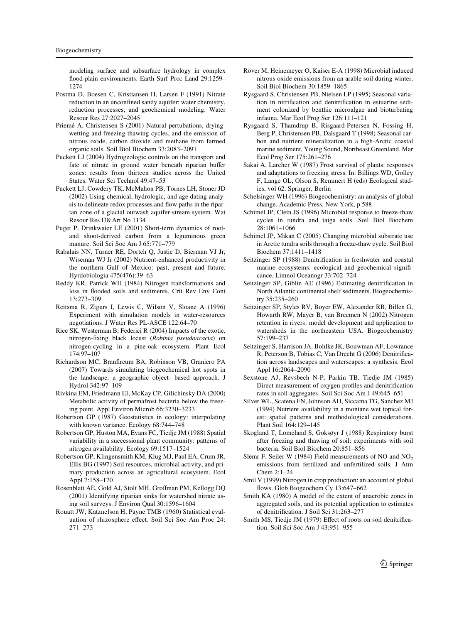modeling surface and subsurface hydrology in complex flood-plain environments. Earth Surf Proc Land 29:1259– 1274

- <span id="page-26-19"></span>Postma D, Boesen C, Kristiansen H, Larsen F (1991) Nitrate reduction in an unconfined sandy aquifer: water chemistry, reduction processes, and geochemical modeling. Water Resour Res 27:2027–2045
- <span id="page-26-9"></span>Priemé A, Christensen S (2001) Natural pertubations, dryingwetting and freezing-thawing cycles, and the emission of nitrous oxide, carbon dioxide and methane from farmed organic soils. Soil Biol Biochem 33:2083–2091
- <span id="page-26-25"></span>Puckett LJ (2004) Hydrogeologic controls on the transport and fate of nitrate in ground water beneath riparian buffer zones: results from thirteen studies across the United States. Water Sci Technol 49:47–53
- <span id="page-26-27"></span>Puckett LJ, Cowdery TK, McMahon PB, Tornes LH, Stoner JD (2002) Using chemical, hydrologic, and age dating analysis to delineate redox processes and flow paths in the riparian zone of a glacial outwash aquifer-stream system. Wat Resour Res l38:Art No 1134
- <span id="page-26-16"></span>Puget P, Drinkwater LE (2001) Short-term dynamics of rootand shoot-derived carbon from a leguminous green manure. Soil Sci Soc Am J 65:771–779
- <span id="page-26-15"></span>Rabalais NN, Turner RE, Dortch Q, Justic D, Bierman VJ Jr, Wiseman WJ Jr (2002) Nutrient-enhanced productivity in the northern Gulf of Mexico: past, present and future. Hyrdobiologia 475(476):39–63
- <span id="page-26-2"></span>Reddy KR, Patrick WH (1984) Nitrogen transformations and loss in flooded soils and sediments. Crit Rev Env Cont 13:273–309
- <span id="page-26-33"></span>Reitsma R, Zigurs I, Lewis C, Wilson V, Sloane A (1996) Experiment with simulation models in water-resources negotiations. J Water Res PL-ASCE 122:64–70
- <span id="page-26-22"></span>Rice SK, Westerman B, Federici R (2004) Impacts of the exotic, nitrogen-fixing black locust (*Robinia pseudoacacia*) on nitrogen-cycling in a pine-oak ecosystem. Plant Ecol 174:97–107
- <span id="page-26-28"></span>Richardson MC, Branfireum BA, Robinson VB, Graniero PA (2007) Towards simulating biogeochemical hot spots in the landscape: a geographic object- based approach. J Hydrol 342:97–109
- <span id="page-26-7"></span>Rivkina EM, Friedmann EI, McKay CP, Gilichinsky DA (2000) Metabolic activity of permafrost bacteria below the freezing point. Appl Environ Microb 66:3230–3233
- <span id="page-26-23"></span>Robertson GP (1987) Geostatistics in ecology: interpolating with known variance. Ecology 68:744–748
- <span id="page-26-17"></span>Robertson GP, Huston MA, Evans FC, Tiedje JM (1988) Spatial variability in a successional plant community: patterns of nitrogen availability. Ecology 69:1517–1524
- <span id="page-26-18"></span>Robertson GP, Klingensmith KM, Klug MJ, Paul EA, Crum JR, Ellis BG (1997) Soil resources, microbial activity, and primary production across an agricultural ecosystem. Ecol Appl 7:158–170
- <span id="page-26-26"></span>Rosenblatt AE, Gold AJ, Stolt MH, Groffman PM, Kellogg DQ (2001) Identifying riparian sinks for watershed nitrate using soil surveys. J Environ Qual 30:1596–1604
- <span id="page-26-21"></span>Rouatt JW, Katznelson H, Payne TMB (1960) Statistical evaluation of rhizosphere effect. Soil Sci Soc Am Proc 24: 271–273
- <span id="page-26-12"></span>Röver M, Heinemeyer O, Kaiser E-A (1998) Microbial induced nitrous oxide emissions from an arable soil during winter. Soil Biol Biochem 30:1859–1865
- <span id="page-26-32"></span>Rysgaard S, Christensen PB, Nielsen LP (1995) Seasonal variation in nitrification and denitrification in estuarine sediment colonized by benthic microalgae and bioturbating infauna. Mar Ecol Prog Ser 126:111–121
- <span id="page-26-30"></span>Rysgaard S, Thamdrup B, Risgaard-Petersen N, Fossing H, Berg P, Christensen PB, Dalsgaard T (1998) Seasonal carbon and nutrient mineralization in a high-Arctic coastal marine sediment, Young Sound, Northeast Greenland. Mar Ecol Prog Ser 175:261–276
- <span id="page-26-6"></span>Sakai A, Larcher W (1987) Frost survival of plants: responses and adaptations to freezing stress. In: Billings WD, Golley F, Lange OL, Olson S, Remmert H (eds) Ecological studies, vol 62. Springer, Berlin
- <span id="page-26-31"></span>Schelsinger WH (1996) Biogeochemistry: an analysis of global change. Academic Press, New York, p 588
- <span id="page-26-10"></span>Schimel JP, Clein JS (1996) Microbial response to freeze-thaw cycles in tundra and taiga soils. Soil Biol Biochem 28:1061–1066
- <span id="page-26-11"></span>Schimel JP, Mikan C (2005) Changing microbial substrate use in Arctic tundra soils through a freeze-thaw cycle. Soil Biol Biochem 37:1411–1418
- <span id="page-26-29"></span>Seitzinger SP (1988) Denitrification in freshwater and coastal marine ecosystems: ecological and geochemical significance. Limnol Oceanogr 33:702–724
- <span id="page-26-3"></span>Seitzinger SP, Giblin AE (1996) Estimating denitrification in North Atlantic continental shelf sediments. Biogeochemistry 35:235–260
- <span id="page-26-4"></span>Seitzinger SP, Styles RV, Boyer EW, Alexander RB, Billen G, Howarth RW, Mayer B, van Breemen N (2002) Nitrogen retention in rivers: model development and application to watersheds in the northeastern USA. Biogeochemistry 57:199–237
- <span id="page-26-5"></span>Seitzinger S, Harrison JA, Bohlke JK, Bouwman AF, Lowrance R, Peterson B, Tobias C, Van Drecht G (2006) Denitrification across landscapes and waterscapes: a synthesis. Ecol Appl 16:2064–2090
- <span id="page-26-1"></span>Sexstone AJ, Revsbech N-P, Parkin TB, Tiedje JM (1985) Direct measurement of oxygen profiles and denitrification rates in soil aggregates. Soil Sci Soc Am J 49:645–651
- <span id="page-26-24"></span>Silver WL, Scatena FN, Johnson AH, Siccama TG, Sanchez MJ (1994) Nutrient availability in a montane wet topical forest: spatial patterns and methodological considerations. Plant Soil 164:129–145
- <span id="page-26-8"></span>Skogland T, Lomeland S, Goksøyr J (1988) Respiratory burst after freezing and thawing of soil: experiments with soil bacteria. Soil Biol Biochem 20:851–856
- <span id="page-26-13"></span>Slemr F, Seiler W (1984) Field measurements of NO and  $NO<sub>2</sub>$ emissions from fertilized and unfertilized soils. J Atm Chem 2:1–24
- <span id="page-26-14"></span>Smil V (1999) Nitrogen in crop production: an account of global flows. Glob Biogeochem Cy 13:647–662
- <span id="page-26-0"></span>Smith KA (1980) A model of the extent of anaerobic zones in aggregated soils, and its potential application to estimates of denitrification. J Soil Sci 31:263-277
- <span id="page-26-20"></span>Smith MS, Tiedje JM (1979) Effect of roots on soil denitrification. Soil Sci Soc Am J 43:951–955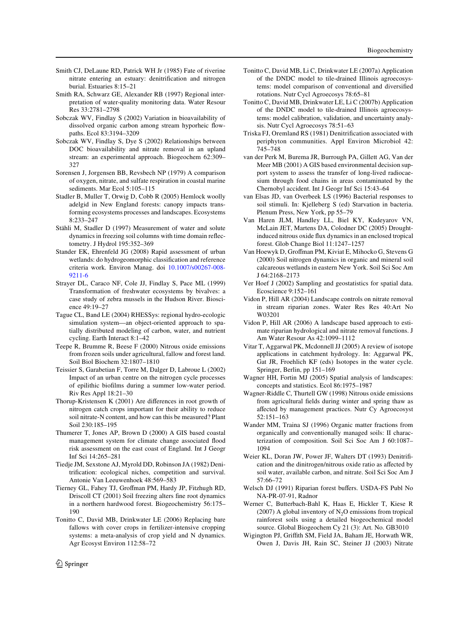- <span id="page-27-27"></span>Smith CJ, DeLaune RD, Patrick WH Jr (1985) Fate of riverine nitrate entering an estuary: denitrification and nitrogen burial. Estuaries 8:15–21
- <span id="page-27-32"></span>Smith RA, Schwarz GE, Alexander RB (1997) Regional interpretation of water-quality monitoring data. Water Resour Res 33:2781–2798
- <span id="page-27-19"></span>Sobczak WV, Findlay S (2002) Variation in bioavailability of dissolved organic carbon among stream hyporheic flowpaths. Ecol 83:3194–3209
- <span id="page-27-20"></span>Sobczak WV, Findlay S, Dye S (2002) Relationships between DOC bioavailability and nitrate removal in an upland stream: an experimental approach. Biogeochem 62:309– 327
- <span id="page-27-28"></span>Sorensen J, Jorgensen BB, Revsbech NP (1979) A comparison of oxygen, nitrate, and sulfate respiration in coastal marine sediments. Mar Ecol 5:105–115
- <span id="page-27-14"></span>Stadler B, Muller T, Orwig D, Cobb R (2005) Hemlock woolly adelgid in New England forests: canopy impacts transforming ecosystems processes and landscapes. Ecosystems 8:233–247
- <span id="page-27-2"></span>Stähli M, Stadler D (1997) Measurement of water and solute dynamics in freezing soil columns with time domain reflectometry. J Hydrol 195:352–369
- <span id="page-27-25"></span>Stander EK, Ehrenfeld JG (2008) Rapid assessment of urban wetlands: do hydrogeomorphic classification and reference criteria work. Environ Manag. doi [10.1007/s00267-008-](http://dx.doi.org/10.1007/s00267-008-9211-6) [9211-6](http://dx.doi.org/10.1007/s00267-008-9211-6)
- <span id="page-27-13"></span>Strayer DL, Caraco NF, Cole JJ, Findlay S, Pace ML (1999) Transformation of freshwater ecosystems by bivalves: a case study of zebra mussels in the Hudson River. Bioscience 49:19–27
- <span id="page-27-0"></span>Tague CL, Band LE (2004) RHESSys: regional hydro-ecologic simulation system—an object-oriented approach to spatially distributed modeling of carbon, water, and nutrient cycling. Earth Interact 8:1–42
- <span id="page-27-1"></span>Teepe R, Brumme R, Beese F (2000) Nitrous oxide emissions from frozen soils under agricultural, fallow and forest land. Soil Biol Biochem 32:1807–1810
- <span id="page-27-31"></span>Teissier S, Garabetian F, Torre M, Dalger D, Labroue L (2002) Impact of an urban centre on the nitrogen cycle processes of epilithic biofilms during a summer low-water period. Riv Res Appl 18:21–30
- <span id="page-27-11"></span>Thorup-Kristensen K  $(2001)$  Are differences in root growth of nitrogen catch crops important for their ability to reduce soil nitrate-N content, and how can this be measured? Plant Soil 230:185–195
- <span id="page-27-33"></span>Thumerer T, Jones AP, Brown D (2000) A GIS based coastal management system for climate change associated flood risk assessment on the east coast of England. Int J Geogr Inf Sci 14:265–281
- <span id="page-27-29"></span>Tiedje JM, Sexstone AJ, Myrold DD, Robinson JA (1982) Denitrification: ecological niches, competition and survival. Antonie Van Leeuwenhoek 48:569–583
- <span id="page-27-3"></span>Tierney GL, Fahey TJ, Groffman PM, Hardy JP, Fitzhugh RD, Driscoll CT (2001) Soil freezing alters fine root dynamics in a northern hardwood forest. Biogeochemistry 56:175– 190
- <span id="page-27-9"></span>Tonitto C, David MB, Drinkwater LE (2006) Replacing bare fallows with cover crops in fertilizer-intensive cropping systems: a meta-analysis of crop yield and N dynamics. Agr Ecosyst Environ 112:58–72
- <span id="page-27-12"></span>Tonitto C, David MB, Li C, Drinkwater LE (2007a) Application of the DNDC model to tile-drained Illinois agroecosystems: model comparison of conventional and diversified rotations. Nutr Cycl Agroecosys 78:65–81
- <span id="page-27-15"></span>Tonitto C, David MB, Drinkwater LE, Li C (2007b) Application of the DNDC model to tile-drained Illinois agroecosystems: model calibration, validation, and uncertainty analysis. Nutr Cycl Agroecosys 78:51–63
- <span id="page-27-30"></span>Triska FJ, Oremland RS (1981) Denitrification associated with periphyton communities. Appl Environ Microbiol 42: 745–748
- <span id="page-27-34"></span>van der Perk M, Burema JR, Burrough PA, Gillett AG, Van der Meer MB (2001) A GIS based environmental decision support system to assess the transfer of long-lived radiocaesium through food chains in areas contaminated by the Chernobyl accident. Int J Geogr Inf Sci 15:43–64
- <span id="page-27-10"></span>van Elsas JD, van Overbeek LS (1996) Bacterial responses to soil stimuli. In: Kjelleberg S (ed) Starvation in bacteria. Plenum Press, New York, pp 55–79
- <span id="page-27-4"></span>Van Haren JLM, Handley LL, Biel KY, Kudeyarov VN, McLain JET, Martens DA, Colodner DC (2005) Droughtinduced nitrous oxide flux dynamics in an enclosed tropical forest. Glob Change Biol 11:1247–1257
- <span id="page-27-18"></span>Van Hoewyk D, Groffman PM, Kiviat E, Mihocko G, Stevens G (2000) Soil nitrogen dynamics in organic and mineral soil calcareous wetlands in eastern New York. Soil Sci Soc Am J 64:2168–2173
- <span id="page-27-16"></span>Ver Hoef J (2002) Sampling and geostatistics for spatial data. Ecoscience 9:152–161
- <span id="page-27-23"></span>Vidon P, Hill AR (2004) Landscape controls on nitrate removal in stream riparian zones. Water Res Res 40:Art No W03201
- <span id="page-27-22"></span>Vidon P, Hill AR (2006) A landscape based approach to estimate riparian hydrological and nitrate removal functions. J Am Water Resour As 42:1099–1112
- <span id="page-27-26"></span>Vitar T, Aggarwal PK, Mcdonnell JJ (2005) A review of isotope applications in catchment hydrology. In: Aggarwal PK, Gat JR, Froehlich KF (eds) Isotopes in the water cycle. Springer, Berlin, pp 151–169
- <span id="page-27-17"></span>Wagner HH, Fortin MJ (2005) Spatial analysis of landscapes: concepts and statistics. Ecol 86:1975–1987
- <span id="page-27-7"></span>Wagner-Riddle C, Thurtell GW (1998) Nitrous oxide emissions from agricultural fields during winter and spring thaw as affected by management practices. Nutr Cy Agroecosyst 52:151–163
- <span id="page-27-6"></span>Wander MM, Traina SJ (1996) Organic matter fractions from organically and conventionally managed soils: II characterization of composition. Soil Sci Soc Am J 60:1087– 1094
- <span id="page-27-8"></span>Weier KL, Doran JW, Power JF, Walters DT (1993) Denitrification and the dinitrogen/nitrous oxide ratio as affected by soil water, available carbon, and nitrate. Soil Sci Soc Am J 57:66–72
- <span id="page-27-21"></span>Welsch DJ (1991) Riparian forest buffers. USDA-FS Publ No NA-PR-07-91, Radnor
- <span id="page-27-5"></span>Werner C, Butterbach-Bahl K, Haas E, Hickler T, Kiese R (2007) A global inventory of  $N_2O$  emissions from tropical rainforest soils using a detailed biogeochemical model source. Global Biogeochem Cy 21 (3): Art. No. GB3010
- <span id="page-27-24"></span>Wigington PJ, Griffith SM, Field JA, Baham JE, Horwath WR, Owen J, Davis JH, Rain SC, Steiner JJ (2003) Nitrate